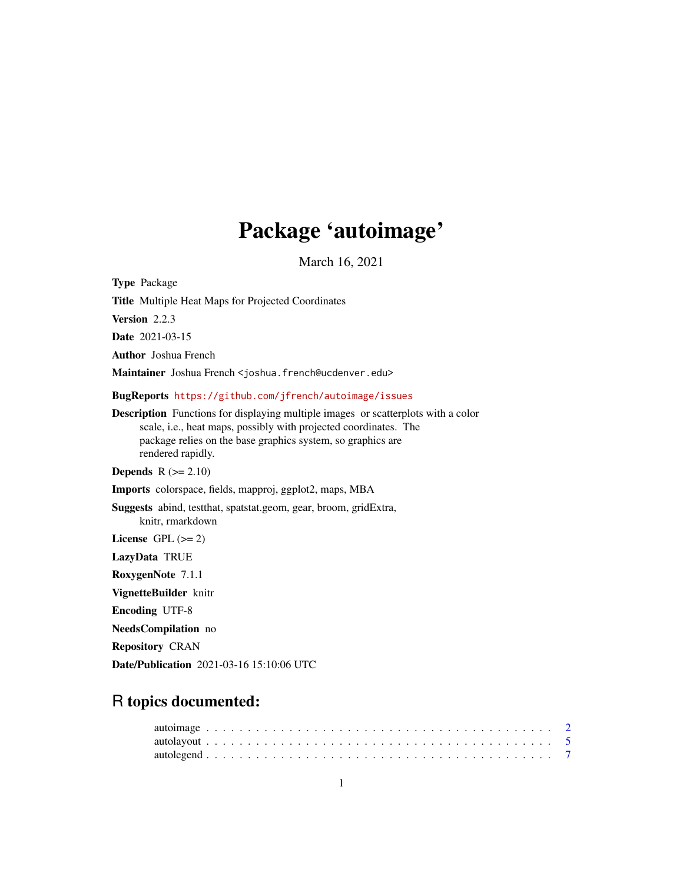# Package 'autoimage'

March 16, 2021

<span id="page-0-0"></span>Type Package Title Multiple Heat Maps for Projected Coordinates Version 2.2.3 Date 2021-03-15 Author Joshua French Maintainer Joshua French <joshua.french@ucdenver.edu> BugReports <https://github.com/jfrench/autoimage/issues> Description Functions for displaying multiple images or scatterplots with a color scale, i.e., heat maps, possibly with projected coordinates. The package relies on the base graphics system, so graphics are rendered rapidly. **Depends**  $R$  ( $>= 2.10$ ) Imports colorspace, fields, mapproj, ggplot2, maps, MBA Suggests abind, testthat, spatstat.geom, gear, broom, gridExtra, knitr, rmarkdown License GPL  $(>= 2)$ LazyData TRUE RoxygenNote 7.1.1 VignetteBuilder knitr Encoding UTF-8 NeedsCompilation no

Repository CRAN

Date/Publication 2021-03-16 15:10:06 UTC

# R topics documented: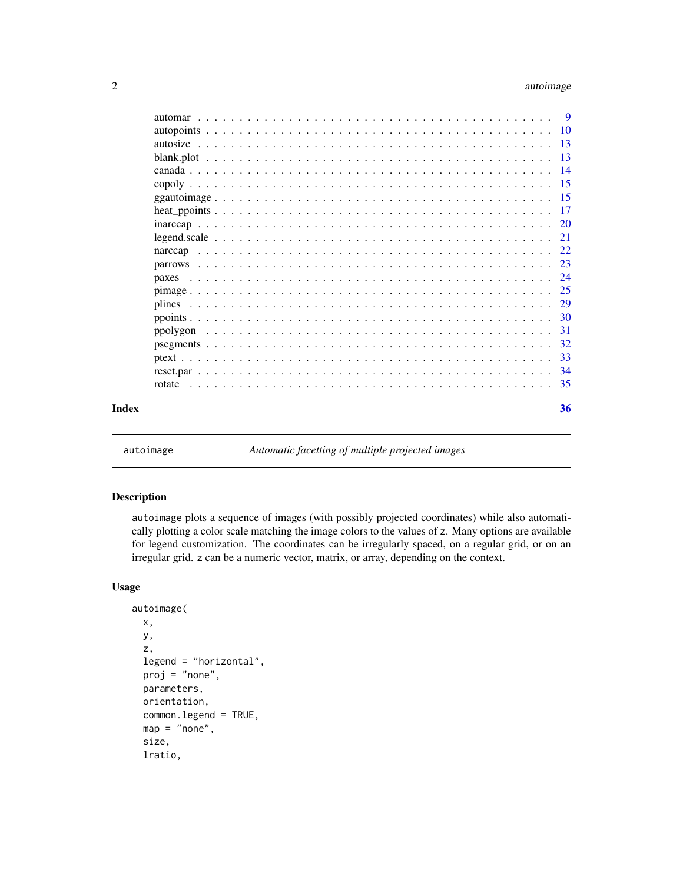# <span id="page-1-0"></span>2 autoimage

|       | paxes |     |
|-------|-------|-----|
|       |       |     |
|       |       |     |
|       |       |     |
|       |       |     |
|       |       |     |
|       |       | -33 |
|       |       |     |
|       |       |     |
| Index |       | 36  |
|       |       |     |

<span id="page-1-1"></span>

autoimage *Automatic facetting of multiple projected images*

# Description

autoimage plots a sequence of images (with possibly projected coordinates) while also automatically plotting a color scale matching the image colors to the values of z. Many options are available for legend customization. The coordinates can be irregularly spaced, on a regular grid, or on an irregular grid. z can be a numeric vector, matrix, or array, depending on the context.

### Usage

```
autoimage(
 x,
 y,
 z,
  legend = "horizontal",
 proj = "none",
 parameters,
 orientation,
  common.legend = TRUE,
 map = "none",size,
  lratio,
```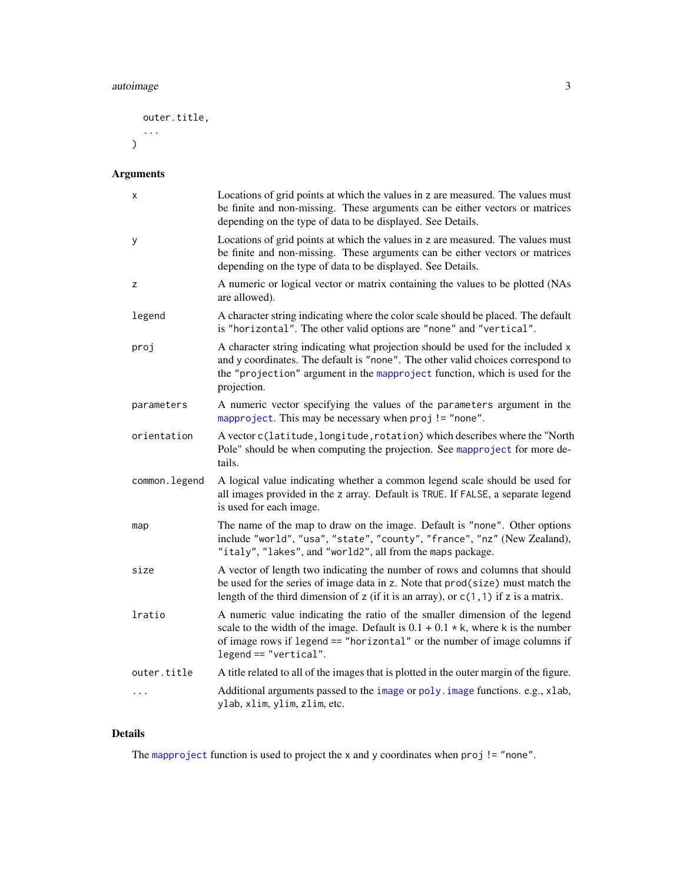# <span id="page-2-0"></span>autoimage 3

outer.title, ...

 $\overline{)}$ 

# Arguments

| х             | Locations of grid points at which the values in z are measured. The values must<br>be finite and non-missing. These arguments can be either vectors or matrices<br>depending on the type of data to be displayed. See Details.                                                  |
|---------------|---------------------------------------------------------------------------------------------------------------------------------------------------------------------------------------------------------------------------------------------------------------------------------|
| У             | Locations of grid points at which the values in z are measured. The values must<br>be finite and non-missing. These arguments can be either vectors or matrices<br>depending on the type of data to be displayed. See Details.                                                  |
| z             | A numeric or logical vector or matrix containing the values to be plotted (NAs<br>are allowed).                                                                                                                                                                                 |
| legend        | A character string indicating where the color scale should be placed. The default<br>is "horizontal". The other valid options are "none" and "vertical".                                                                                                                        |
| proj          | A character string indicating what projection should be used for the included x<br>and y coordinates. The default is "none". The other valid choices correspond to<br>the "projection" argument in the mapproject function, which is used for the<br>projection.                |
| parameters    | A numeric vector specifying the values of the parameters argument in the<br>mapproject. This may be necessary when proj != "none".                                                                                                                                              |
| orientation   | A vector c(latitude, longitude, rotation) which describes where the "North<br>Pole" should be when computing the projection. See mapproject for more de-<br>tails.                                                                                                              |
| common.legend | A logical value indicating whether a common legend scale should be used for<br>all images provided in the z array. Default is TRUE. If FALSE, a separate legend<br>is used for each image.                                                                                      |
| map           | The name of the map to draw on the image. Default is "none". Other options<br>include "world", "usa", "state", "county", "france", "nz" (New Zealand),<br>"italy", "lakes", and "world2", all from the maps package.                                                            |
| size          | A vector of length two indicating the number of rows and columns that should<br>be used for the series of image data in z. Note that prod(size) must match the<br>length of the third dimension of z (if it is an array), or $c(1, 1)$ if z is a matrix.                        |
| lratio        | A numeric value indicating the ratio of the smaller dimension of the legend<br>scale to the width of the image. Default is $0.1 + 0.1 \times k$ , where k is the number<br>of image rows if legend == "horizontal" or the number of image columns if<br>$legend == "vertical".$ |
| outer.title   | A title related to all of the images that is plotted in the outer margin of the figure.                                                                                                                                                                                         |
| $\cdots$      | Additional arguments passed to the image or poly. image functions. e.g., xlab,<br>ylab, xlim, ylim, zlim, etc.                                                                                                                                                                  |

# Details

The [mapproject](#page-0-0) function is used to project the x and y coordinates when proj != "none".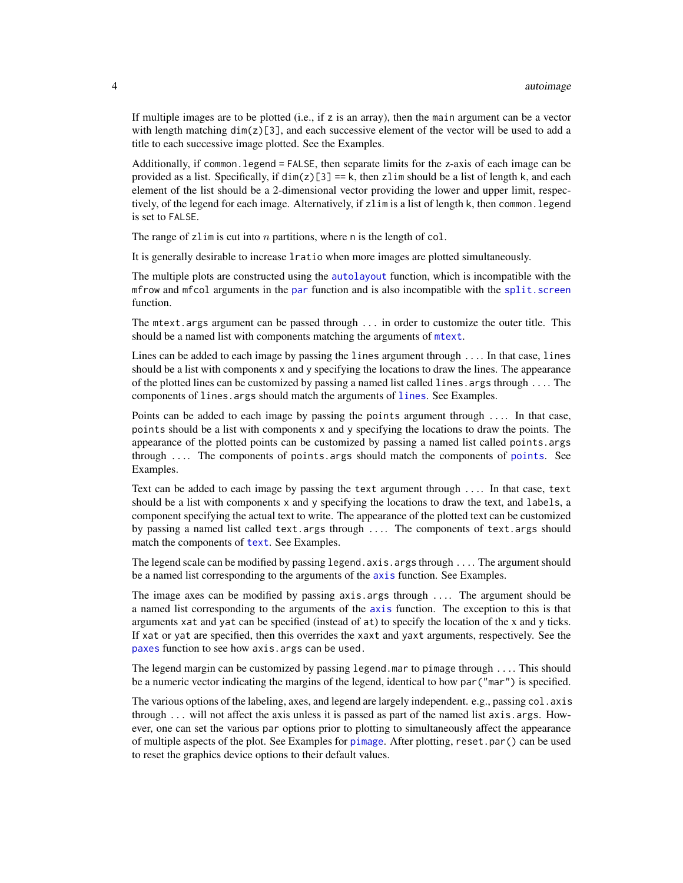<span id="page-3-0"></span>If multiple images are to be plotted (i.e., if z is an array), then the main argument can be a vector with length matching  $\dim(z)$ [3], and each successive element of the vector will be used to add a title to each successive image plotted. See the Examples.

Additionally, if common.legend = FALSE, then separate limits for the z-axis of each image can be provided as a list. Specifically, if  $dim(z)[3] == k$ , then zlim should be a list of length k, and each element of the list should be a 2-dimensional vector providing the lower and upper limit, respectively, of the legend for each image. Alternatively, if zlim is a list of length k, then common.legend is set to FALSE.

The range of zlim is cut into n partitions, where n is the length of col.

It is generally desirable to increase lratio when more images are plotted simultaneously.

The multiple plots are constructed using the [autolayout](#page-4-1) function, which is incompatible with the mfrow and mfcol arguments in the [par](#page-0-0) function and is also incompatible with the [split.screen](#page-0-0) function.

The mtext.args argument can be passed through ... in order to customize the outer title. This should be a named list with components matching the arguments of [mtext](#page-0-0).

Lines can be added to each image by passing the lines argument through .... In that case, lines should be a list with components  $x$  and  $y$  specifying the locations to draw the lines. The appearance of the plotted lines can be customized by passing a named list called lines.args through .... The components of lines.args should match the arguments of [lines](#page-0-0). See Examples.

Points can be added to each image by passing the points argument through .... In that case, points should be a list with components x and y specifying the locations to draw the points. The appearance of the plotted points can be customized by passing a named list called points.args through  $\ldots$  The components of [points](#page-0-0) args should match the components of points. See Examples.

Text can be added to each image by passing the text argument through .... In that case, text should be a list with components x and y specifying the locations to draw the text, and labels, a component specifying the actual text to write. The appearance of the plotted text can be customized by passing a named list called text.args through .... The components of text.args should match the components of [text](#page-0-0). See Examples.

The legend scale can be modified by passing legend.axis.args through .... The argument should be a named list corresponding to the arguments of the [axis](#page-0-0) function. See Examples.

The image axes can be modified by passing axis.args through .... The argument should be a named list corresponding to the arguments of the [axis](#page-0-0) function. The exception to this is that arguments xat and yat can be specified (instead of at) to specify the location of the x and y ticks. If xat or yat are specified, then this overrides the xaxt and yaxt arguments, respectively. See the [paxes](#page-23-1) function to see how axis.args can be used.

The legend margin can be customized by passing legend.mar to pimage through .... This should be a numeric vector indicating the margins of the legend, identical to how par("mar") is specified.

The various options of the labeling, axes, and legend are largely independent. e.g., passing col. axis through  $\ldots$  will not affect the axis unless it is passed as part of the named list axis. args. However, one can set the various par options prior to plotting to simultaneously affect the appearance of multiple aspects of the plot. See Examples for [pimage](#page-24-1). After plotting, reset.par() can be used to reset the graphics device options to their default values.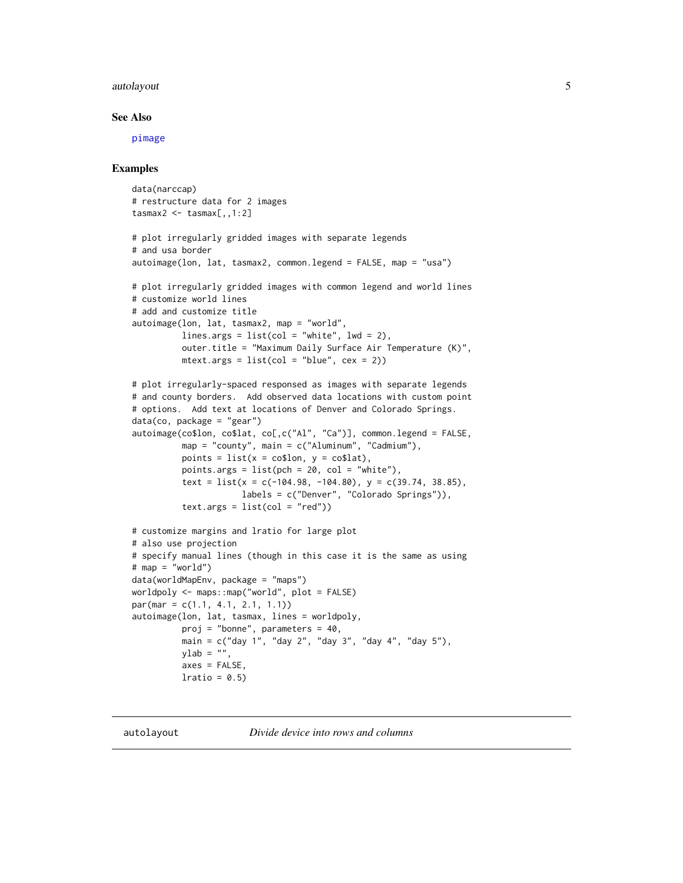#### <span id="page-4-0"></span>autolayout 5 auto-search 2012 12:00 minutes and 2012 12:00 minutes and 2012 12:00 minutes and 2013 12:00 minutes and 2013 12:00 minutes and 2013 12:00 minutes and 2013 12:00 minutes and 2013 12:00 minutes and 2013 12:00 mi

#### See Also

[pimage](#page-24-1)

#### Examples

```
data(narccap)
# restructure data for 2 images
tasmax2 < - tasmax[,, 1:2]
# plot irregularly gridded images with separate legends
# and usa border
autoimage(lon, lat, tasmax2, common.legend = FALSE, map = "usa")
# plot irregularly gridded images with common legend and world lines
# customize world lines
# add and customize title
autoimage(lon, lat, tasmax2, map = "world",
          lines.args = list(col = "white", lwd = 2),
          outer.title = "Maximum Daily Surface Air Temperature (K)",
         mtext{text.args} = list(col = "blue", cex = 2))# plot irregularly-spaced responsed as images with separate legends
# and county borders. Add observed data locations with custom point
# options. Add text at locations of Denver and Colorado Springs.
data(co, package = "gear")autoimage(co$lon, co$lat, co[,c("Al", "Ca")], common.legend = FALSE,
         map = "county", main = c("Aluminum", "Cadmium"),
          points = list(x = \text{co$1on}, y = \text{co$1at}),points.args = list(pch = 20, col = "white"),
          text = list(x = c(-104.98, -104.80), y = c(39.74, 38.85),
                      labels = c("Denver", "Colorado Springs")),
          text.argv = list(col = "red")# customize margins and lratio for large plot
# also use projection
# specify manual lines (though in this case it is the same as using
# map = "world")
data(worldMapEnv, package = "maps")
worldpoly <- maps::map("world", plot = FALSE)
par(mar = c(1.1, 4.1, 2.1, 1.1))
autoimage(lon, lat, tasmax, lines = worldpoly,
          proj = "bonne", parameters = 40,
          main = c("day 1", "day 2", "day 3", "day 4", "day 5"),
         ylab = "",
          axes = FALSE,
         lratio = 0.5
```
<span id="page-4-1"></span>autolayout *Divide device into rows and columns*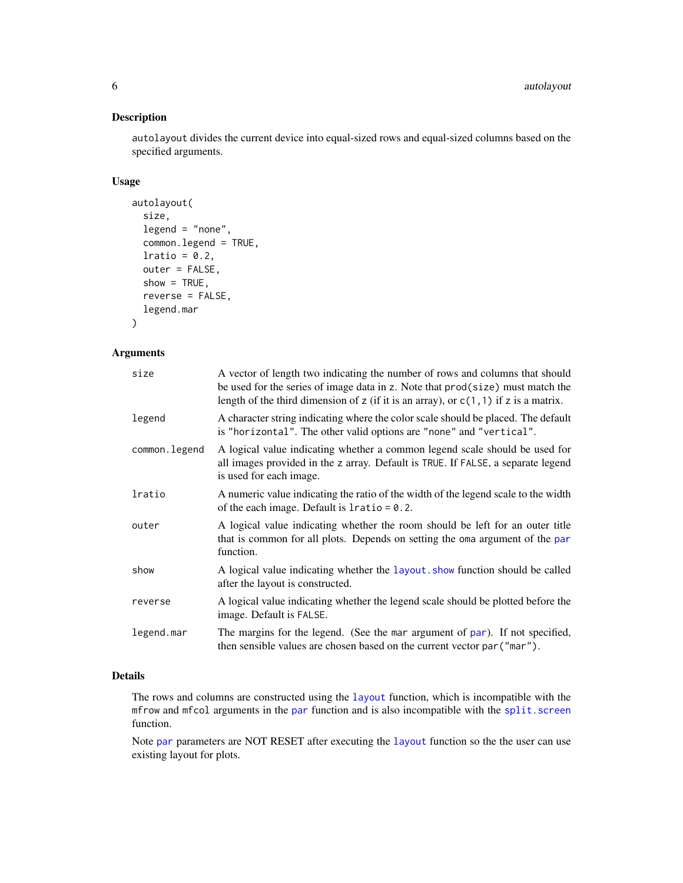# <span id="page-5-0"></span>Description

autolayout divides the current device into equal-sized rows and equal-sized columns based on the specified arguments.

# Usage

```
autolayout(
  size,
  legend = "none",
  common.legend = TRUE,
  lratio = 0.2,
  outer = FALSE,
  show = TRUE,
  reverse = FALSE,
  legend.mar
)
```
#### Arguments

| size          | A vector of length two indicating the number of rows and columns that should<br>be used for the series of image data in z. Note that prod(size) must match the<br>length of the third dimension of z (if it is an array), or $c(1, 1)$ if z is a matrix. |
|---------------|----------------------------------------------------------------------------------------------------------------------------------------------------------------------------------------------------------------------------------------------------------|
| legend        | A character string indicating where the color scale should be placed. The default<br>is "horizontal". The other valid options are "none" and "vertical".                                                                                                 |
| common.legend | A logical value indicating whether a common legend scale should be used for<br>all images provided in the z array. Default is TRUE. If FALSE, a separate legend<br>is used for each image.                                                               |
| lratio        | A numeric value indicating the ratio of the width of the legend scale to the width<br>of the each image. Default is $l$ ratio = 0.2.                                                                                                                     |
| outer         | A logical value indicating whether the room should be left for an outer title<br>that is common for all plots. Depends on setting the oma argument of the par<br>function.                                                                               |
| show          | A logical value indicating whether the layout show function should be called<br>after the layout is constructed.                                                                                                                                         |
| reverse       | A logical value indicating whether the legend scale should be plotted before the<br>image. Default is FALSE.                                                                                                                                             |
| legend.mar    | The margins for the legend. (See the mar argument of par). If not specified,<br>then sensible values are chosen based on the current vector par ("mar").                                                                                                 |

# Details

The rows and columns are constructed using the [layout](#page-0-0) function, which is incompatible with the mfrow and mfcol arguments in the [par](#page-0-0) function and is also incompatible with the [split.screen](#page-0-0) function.

Note [par](#page-0-0) parameters are NOT RESET after executing the [layout](#page-0-0) function so the the user can use existing layout for plots.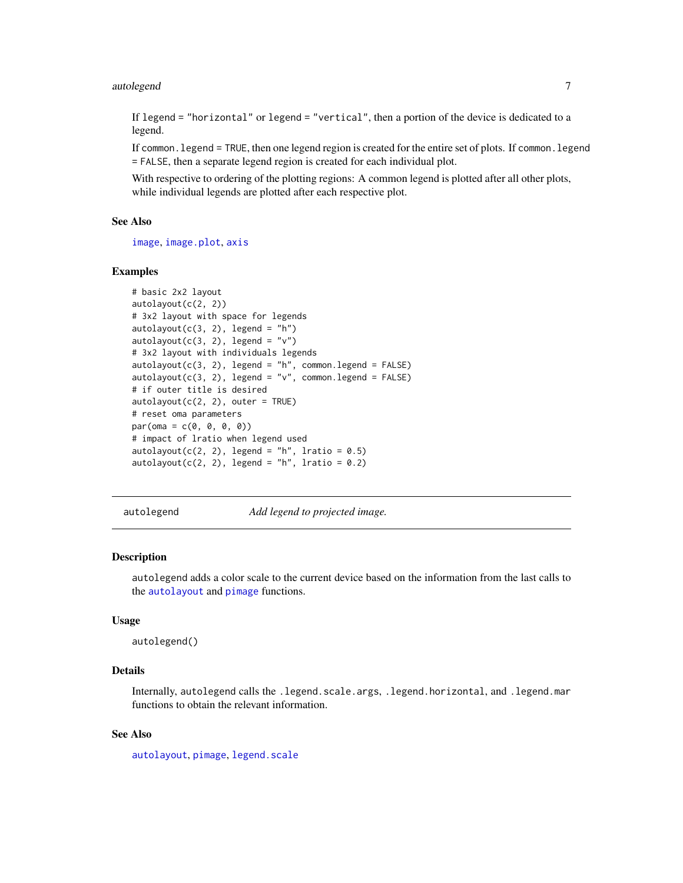#### <span id="page-6-0"></span>autolegend 7 auto-2008 auto-2008 auto-2008 auto-2008 auto-2008 auto-2008 auto-2008 auto-2008 auto-2008 auto-20

If legend = "horizontal" or legend = "vertical", then a portion of the device is dedicated to a legend.

If common.legend = TRUE, then one legend region is created for the entire set of plots. If common.legend = FALSE, then a separate legend region is created for each individual plot.

With respective to ordering of the plotting regions: A common legend is plotted after all other plots, while individual legends are plotted after each respective plot.

# See Also

[image](#page-0-0), [image.plot](#page-0-0), [axis](#page-0-0)

#### Examples

```
# basic 2x2 layout
autolayout(c(2, 2))
# 3x2 layout with space for legends
autolayout(c(3, 2), legend = "h")autolayout(c(3, 2), legend = "v")# 3x2 layout with individuals legends
autolayout(c(3, 2), legend = "h", common.length = FALSE)autolayout(c(3, 2), legend = "v", common.length = FALSE)# if outer title is desired
autolayout(c(2, 2), outer = TRUE)# reset oma parameters
par(oma = c(0, 0, 0, 0))# impact of lratio when legend used
autolayout(c(2, 2), legend = "h", lratio = 0.5)autolayout(c(2, 2), legend = "h", lratio = 0.2)
```
autolegend *Add legend to projected image.*

#### **Description**

autolegend adds a color scale to the current device based on the information from the last calls to the [autolayout](#page-4-1) and [pimage](#page-24-1) functions.

#### Usage

autolegend()

### Details

Internally, autolegend calls the .legend.scale.args, .legend.horizontal, and .legend.mar functions to obtain the relevant information.

# See Also

[autolayout](#page-4-1), [pimage](#page-24-1), [legend.scale](#page-20-1)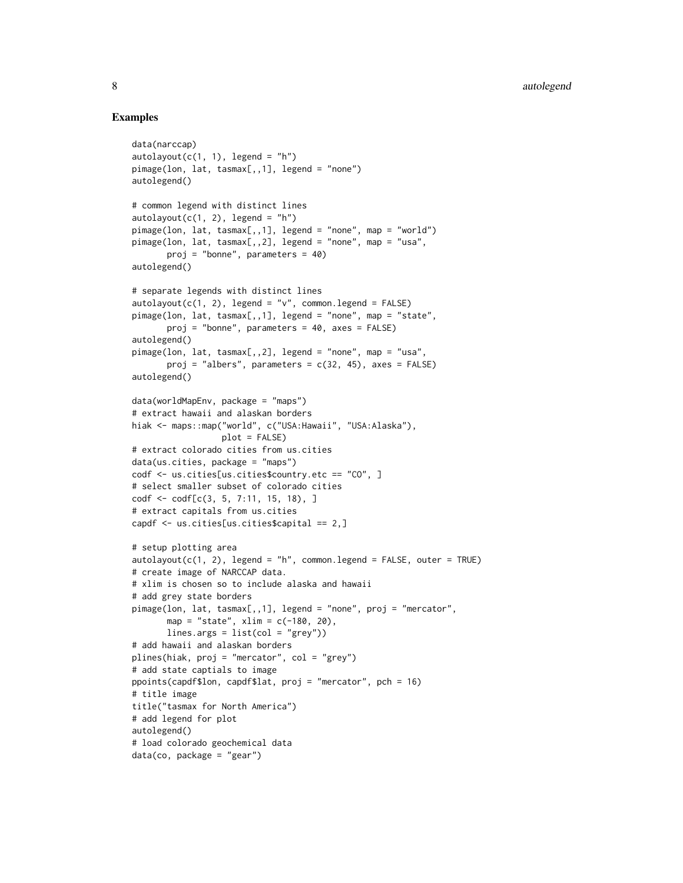```
data(narccap)
autolayout(c(1, 1), legend = "h")pimage(lon, lat, tasmax[,,1], legend = "none")
autolegend()
# common legend with distinct lines
autolayout(c(1, 2), legend = "h")pimage(lon, lat, tasmax[,,1], legend = "none", map = "world")
pimage(lon, lat, tasmax[,,2], legend = "none", map = "usa",
       proj = "bonne", parameters = 40)
autolegend()
# separate legends with distinct lines
autolayout(c(1, 2), legend = "v", common.length = FALSE)pimage(lon, lat, tasmax[,,1], legend = "none", map = "state",
       proj = "bonne", parameters = 40, axes = FALSE)
autolegend()
pimage(lon, lat, tasmax[,,2], legend = "none", map = "usa",
       proj = "albers", parameters = c(32, 45), axes = FALSE)
autolegend()
data(worldMapEnv, package = "maps")
# extract hawaii and alaskan borders
hiak <- maps::map("world", c("USA:Hawaii", "USA:Alaska"),
                  plot = FALSE)
# extract colorado cities from us.cities
data(us.cities, package = "maps")
codf <- us.cities[us.cities$country.etc == "CO", ]
# select smaller subset of colorado cities
codf <- codf[c(3, 5, 7:11, 15, 18), ]
# extract capitals from us.cities
capdf <- us.cities[us.cities$capital == 2,]
# setup plotting area
autolayout(c(1, 2), legend = "h", common.length = FALSE, outer = TRUE)# create image of NARCCAP data.
# xlim is chosen so to include alaska and hawaii
# add grey state borders
pimage(lon, lat, tasmax[,,1], legend = "none", proj = "mercator",
       map = "state", xlim = c(-180, 20),lines.args = list(col = "grey"))# add hawaii and alaskan borders
plines(hiak, proj = "mercator", col = "grey")
# add state captials to image
ppoints(capdf$lon, capdf$lat, proj = "mercator", pch = 16)
# title image
title("tasmax for North America")
# add legend for plot
autolegend()
# load colorado geochemical data
data(co, package = "gear")
```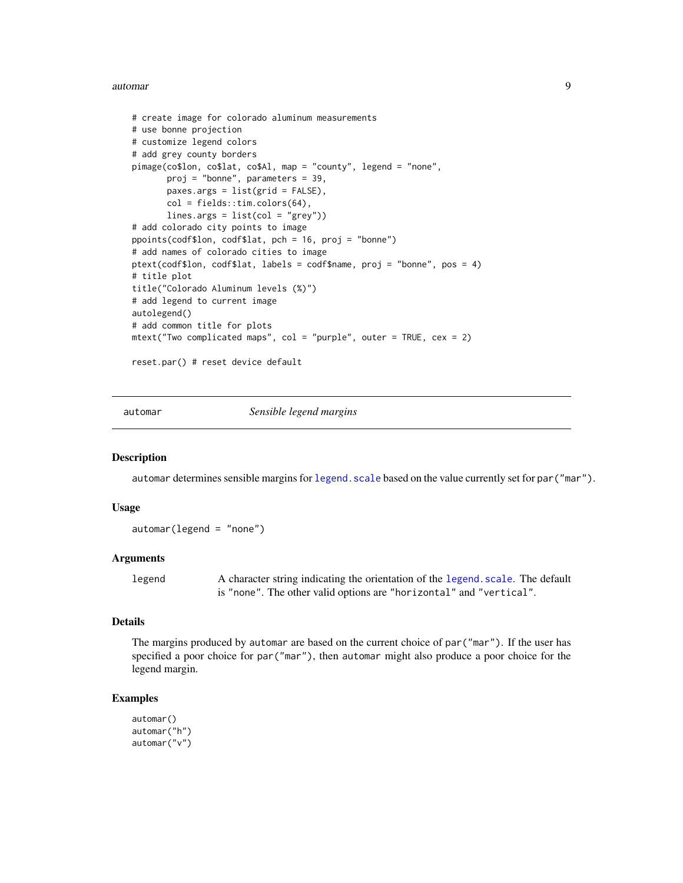#### <span id="page-8-0"></span>automar 9

```
# create image for colorado aluminum measurements
# use bonne projection
# customize legend colors
# add grey county borders
pimage(co$lon, co$lat, co$Al, map = "county", legend = "none",
       proj = "bonne", parameters = 39,
       paxes.args = list(grid = FALSE),
       col = fields::tim.colors(64),
       lines.args = list(col = "grey"))# add colorado city points to image
ppoints(codf$lon, codf$lat, pch = 16, proj = "bonne")
# add names of colorado cities to image
ptext(codf$lon, codf$lat, labels = codf$name, proj = "bonne", pos = 4)
# title plot
title("Colorado Aluminum levels (%)")
# add legend to current image
autolegend()
# add common title for plots
mtext{text("Two complicated maps", col = "purple", outer = TRUE, cex = 2)}reset.par() # reset device default
```
automar *Sensible legend margins*

#### Description

automar determines sensible margins for legend. scale based on the value currently set for par("mar").

#### Usage

automar(legend = "none")

#### Arguments

legend A character string indicating the orientation of the [legend.scale](#page-20-1). The default is "none". The other valid options are "horizontal" and "vertical".

#### Details

The margins produced by automar are based on the current choice of par("mar"). If the user has specified a poor choice for par("mar"), then automar might also produce a poor choice for the legend margin.

```
automar()
automar("h")
automar("v")
```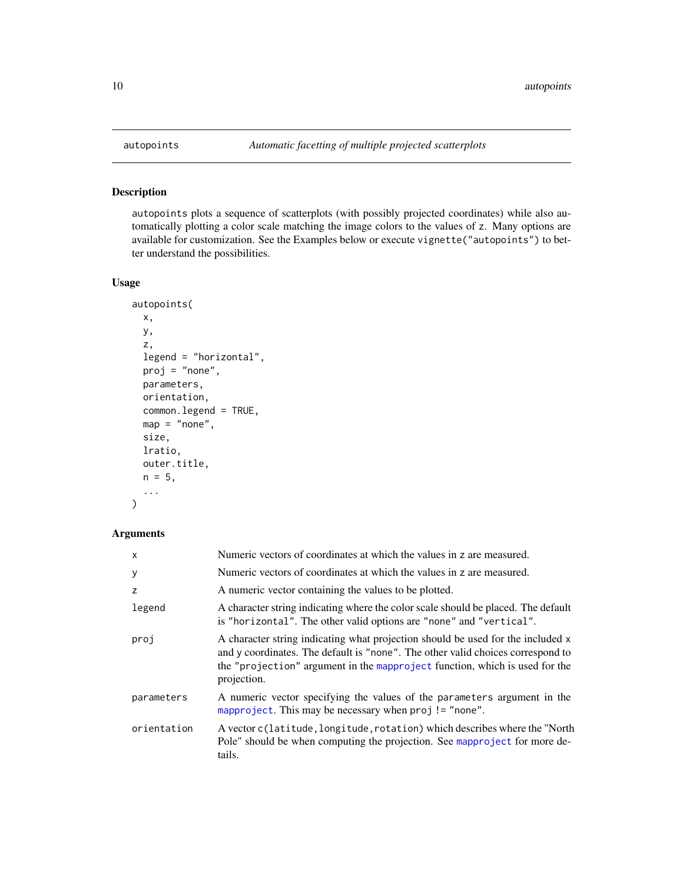<span id="page-9-0"></span>

# Description

autopoints plots a sequence of scatterplots (with possibly projected coordinates) while also automatically plotting a color scale matching the image colors to the values of z. Many options are available for customization. See the Examples below or execute vignette("autopoints") to better understand the possibilities.

### Usage

```
autopoints(
 x,
 y,
 z,
 legend = "horizontal",
 proj = "none",parameters,
 orientation,
 common.legend = TRUE,
 map = "none",size,
 lratio,
 outer.title,
 n = 5,
  ...
\mathcal{L}
```
# Arguments

| $\mathsf{x}$ | Numeric vectors of coordinates at which the values in z are measured.                                                                                                                                                                                            |
|--------------|------------------------------------------------------------------------------------------------------------------------------------------------------------------------------------------------------------------------------------------------------------------|
| У            | Numeric vectors of coordinates at which the values in z are measured.                                                                                                                                                                                            |
| z            | A numeric vector containing the values to be plotted.                                                                                                                                                                                                            |
| legend       | A character string indicating where the color scale should be placed. The default<br>is "horizontal". The other valid options are "none" and "vertical".                                                                                                         |
| proj         | A character string indicating what projection should be used for the included x<br>and y coordinates. The default is "none". The other valid choices correspond to<br>the "projection" argument in the mapproject function, which is used for the<br>projection. |
| parameters   | A numeric vector specifying the values of the parameters argument in the<br>mapproject. This may be necessary when proj != "none".                                                                                                                               |
| orientation  | A vector c (latitude, longitude, rotation) which describes where the "North<br>Pole" should be when computing the projection. See mapproject for more de-<br>tails.                                                                                              |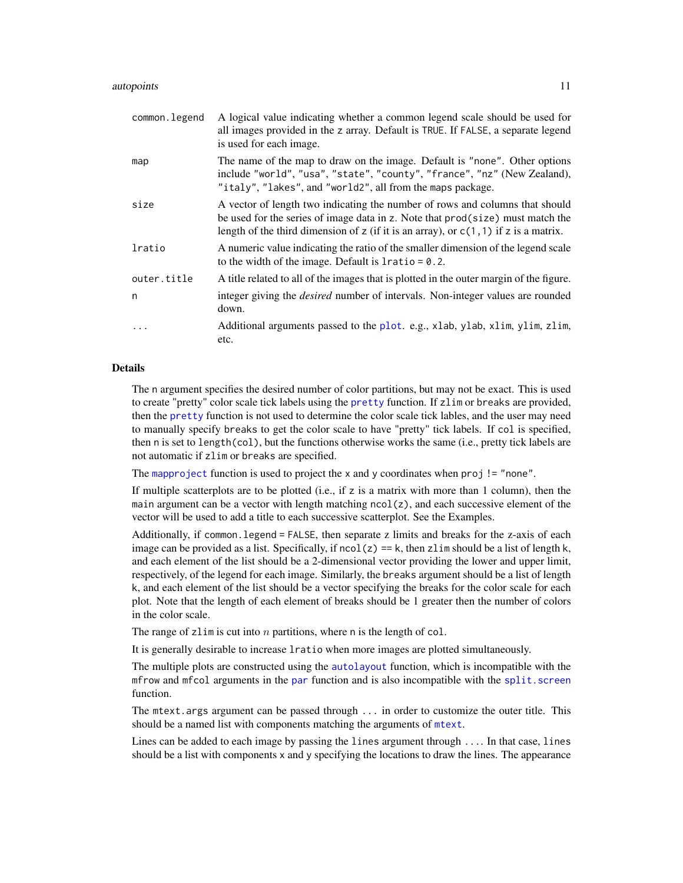<span id="page-10-0"></span>

| common.legend | A logical value indicating whether a common legend scale should be used for<br>all images provided in the z array. Default is TRUE. If FALSE, a separate legend<br>is used for each image.                                                                               |
|---------------|--------------------------------------------------------------------------------------------------------------------------------------------------------------------------------------------------------------------------------------------------------------------------|
| map           | The name of the map to draw on the image. Default is "none". Other options<br>include "world", "usa", "state", "county", "france", "nz" (New Zealand),<br>"italy", "lakes", and "world2", all from the maps package.                                                     |
| size          | A vector of length two indicating the number of rows and columns that should<br>be used for the series of image data in z. Note that $\text{prod}(\text{size})$ must match the<br>length of the third dimension of z (if it is an array), or $c(1, 1)$ if z is a matrix. |
| lratio        | A numeric value indicating the ratio of the smaller dimension of the legend scale<br>to the width of the image. Default is $l$ ratio = 0.2.                                                                                                                              |
| outer.title   | A title related to all of the images that is plotted in the outer margin of the figure.                                                                                                                                                                                  |
| n             | integer giving the <i>desired</i> number of intervals. Non-integer values are rounded<br>down.                                                                                                                                                                           |
| .             | Additional arguments passed to the plot. e.g., xlab, ylab, xlim, ylim, zlim,<br>etc.                                                                                                                                                                                     |

### Details

The n argument specifies the desired number of color partitions, but may not be exact. This is used to create "pretty" color scale tick labels using the [pretty](#page-0-0) function. If zlim or breaks are provided, then the [pretty](#page-0-0) function is not used to determine the color scale tick lables, and the user may need to manually specify breaks to get the color scale to have "pretty" tick labels. If col is specified, then n is set to length(col), but the functions otherwise works the same (i.e., pretty tick labels are not automatic if zlim or breaks are specified.

The [mapproject](#page-0-0) function is used to project the x and y coordinates when  $proj$ ! = "none".

If multiple scatterplots are to be plotted (i.e., if z is a matrix with more than 1 column), then the main argument can be a vector with length matching ncol(z), and each successive element of the vector will be used to add a title to each successive scatterplot. See the Examples.

Additionally, if common.legend = FALSE, then separate z limits and breaks for the z-axis of each image can be provided as a list. Specifically, if  $ncol(z) == k$ , then zlim should be a list of length k, and each element of the list should be a 2-dimensional vector providing the lower and upper limit, respectively, of the legend for each image. Similarly, the breaks argument should be a list of length k, and each element of the list should be a vector specifying the breaks for the color scale for each plot. Note that the length of each element of breaks should be 1 greater then the number of colors in the color scale.

The range of zlim is cut into  $n$  partitions, where n is the length of col.

It is generally desirable to increase lratio when more images are plotted simultaneously.

The multiple plots are constructed using the [autolayout](#page-4-1) function, which is incompatible with the mfrow and mfcol arguments in the [par](#page-0-0) function and is also incompatible with the [split.screen](#page-0-0) function.

The mtext.args argument can be passed through ... in order to customize the outer title. This should be a named list with components matching the arguments of [mtext](#page-0-0).

Lines can be added to each image by passing the lines argument through .... In that case, lines should be a list with components x and y specifying the locations to draw the lines. The appearance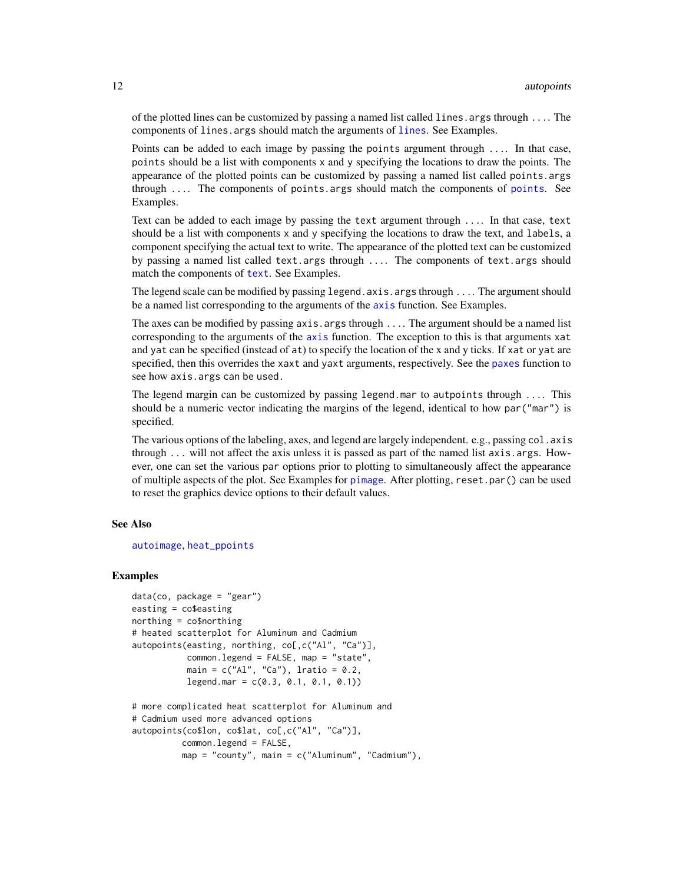<span id="page-11-0"></span>of the plotted lines can be customized by passing a named list called lines.args through .... The components of lines.args should match the arguments of [lines](#page-0-0). See Examples.

Points can be added to each image by passing the points argument through .... In that case, points should be a list with components x and y specifying the locations to draw the points. The appearance of the plotted points can be customized by passing a named list called points.args through  $\ldots$  The components of [points](#page-0-0). args should match the components of points. See Examples.

Text can be added to each image by passing the text argument through .... In that case, text should be a list with components x and y specifying the locations to draw the text, and labels, a component specifying the actual text to write. The appearance of the plotted text can be customized by passing a named list called text.args through .... The components of text.args should match the components of [text](#page-0-0). See Examples.

The legend scale can be modified by passing legend.axis.args through .... The argument should be a named list corresponding to the arguments of the [axis](#page-0-0) function. See Examples.

The axes can be modified by passing  $axis \cdot args$  through  $\dots$ . The argument should be a named list corresponding to the arguments of the [axis](#page-0-0) function. The exception to this is that arguments xat and yat can be specified (instead of at) to specify the location of the x and y ticks. If xat or yat are specified, then this overrides the xaxt and yaxt arguments, respectively. See the [paxes](#page-23-1) function to see how axis.args can be used.

The legend margin can be customized by passing legend.mar to autpoints through .... This should be a numeric vector indicating the margins of the legend, identical to how par("mar") is specified.

The various options of the labeling, axes, and legend are largely independent. e.g., passing col. axis through  $\ldots$  will not affect the axis unless it is passed as part of the named list axis.args. However, one can set the various par options prior to plotting to simultaneously affect the appearance of multiple aspects of the plot. See Examples for [pimage](#page-24-1). After plotting, reset.par() can be used to reset the graphics device options to their default values.

#### See Also

#### [autoimage](#page-1-1), [heat\\_ppoints](#page-16-1)

```
data(co, package = "gear")easting = co$easting
northing = co$northing
# heated scatterplot for Aluminum and Cadmium
autopoints(easting, northing, co[,c("Al", "Ca")],
          common.legend = FALSE, map = "state",
          main = c("Al", "Ca"), lratio = 0.2,
          legend.mar = c(0.3, 0.1, 0.1, 0.1)# more complicated heat scatterplot for Aluminum and
# Cadmium used more advanced options
autopoints(co$lon, co$lat, co[,c("Al", "Ca")],
         common.legend = FALSE,
         map = "county", main = c("Aluminum", "Cadmium"),
```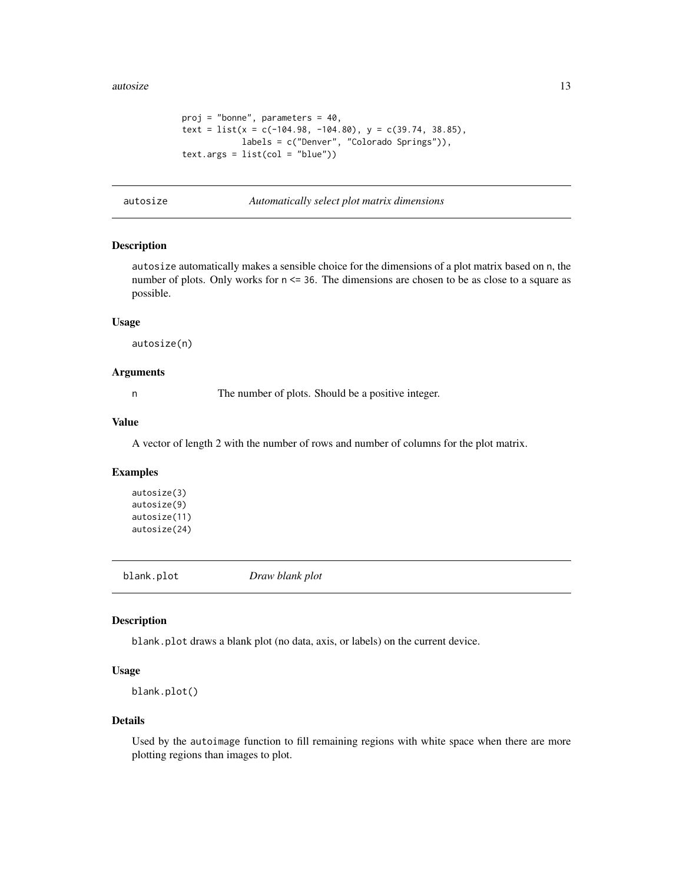```
proj = "bonne", parameters = 40,
text = list(x = c(-104.98, -104.80), y = c(39.74, 38.85),labels = c("Denver", "Colorado Springs")),
text.argv = list(col = "blue")
```
autosize *Automatically select plot matrix dimensions*

# Description

autosize automatically makes a sensible choice for the dimensions of a plot matrix based on n, the number of plots. Only works for  $n \le 36$ . The dimensions are chosen to be as close to a square as possible.

#### Usage

autosize(n)

#### Arguments

n The number of plots. Should be a positive integer.

### Value

A vector of length 2 with the number of rows and number of columns for the plot matrix.

# Examples

autosize(3) autosize(9) autosize(11) autosize(24)

blank.plot *Draw blank plot*

#### Description

blank.plot draws a blank plot (no data, axis, or labels) on the current device.

#### Usage

```
blank.plot()
```
#### Details

Used by the autoimage function to fill remaining regions with white space when there are more plotting regions than images to plot.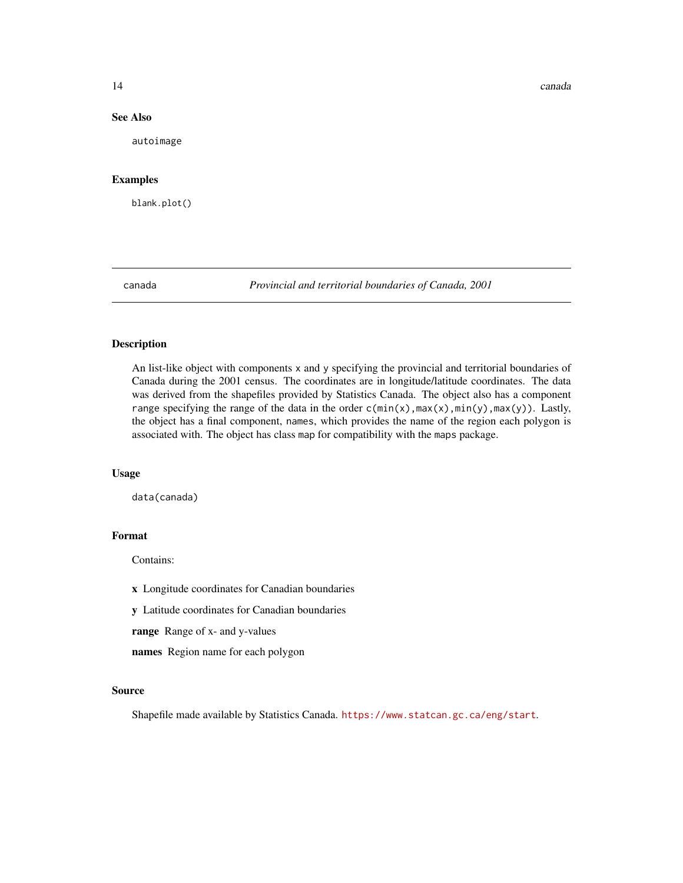<span id="page-13-0"></span>14 canada

#### See Also

autoimage

#### Examples

blank.plot()

canada *Provincial and territorial boundaries of Canada, 2001*

#### Description

An list-like object with components x and y specifying the provincial and territorial boundaries of Canada during the 2001 census. The coordinates are in longitude/latitude coordinates. The data was derived from the shapefiles provided by Statistics Canada. The object also has a component range specifying the range of the data in the order  $c(min(x),max(x),min(y),max(y))$ . Lastly, the object has a final component, names, which provides the name of the region each polygon is associated with. The object has class map for compatibility with the maps package.

#### Usage

data(canada)

#### Format

Contains:

x Longitude coordinates for Canadian boundaries

y Latitude coordinates for Canadian boundaries

range Range of x- and y-values

names Region name for each polygon

#### Source

Shapefile made available by Statistics Canada. <https://www.statcan.gc.ca/eng/start>.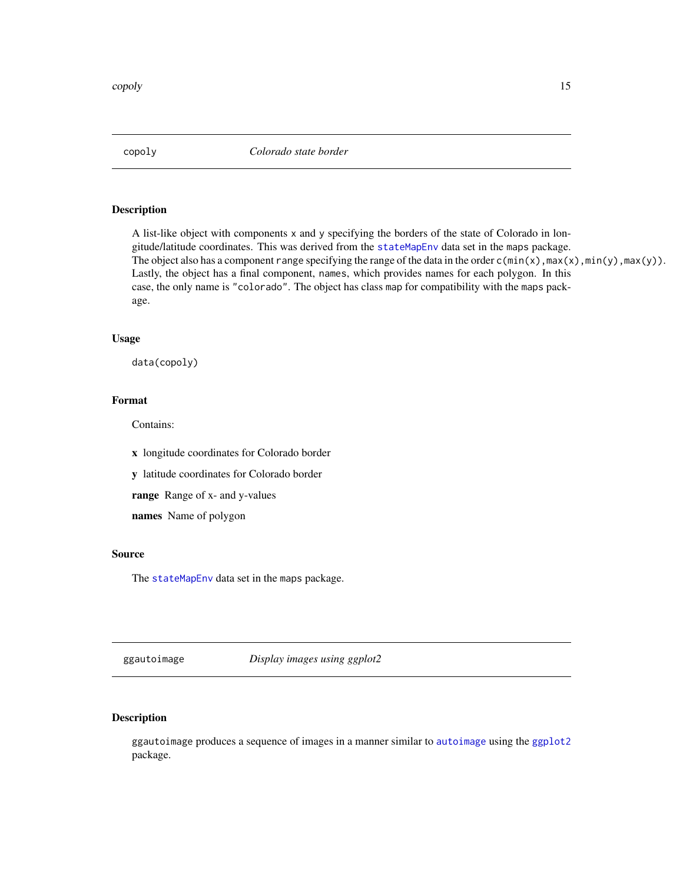<span id="page-14-0"></span>copoly *Colorado state border*

# Description

A list-like object with components x and y specifying the borders of the state of Colorado in longitude/latitude coordinates. This was derived from the [stateMapEnv](#page-0-0) data set in the maps package. The object also has a component range specifying the range of the data in the order  $c(min(x),max(x),min(y),max(y))$ . Lastly, the object has a final component, names, which provides names for each polygon. In this case, the only name is "colorado". The object has class map for compatibility with the maps package.

#### Usage

data(copoly)

# Format

Contains:

x longitude coordinates for Colorado border

y latitude coordinates for Colorado border

range Range of x- and y-values

names Name of polygon

# Source

The [stateMapEnv](#page-0-0) data set in the maps package.

ggautoimage *Display images using ggplot2*

# Description

ggautoimage produces a sequence of images in a manner similar to [autoimage](#page-1-1) using the [ggplot2](#page-0-0) package.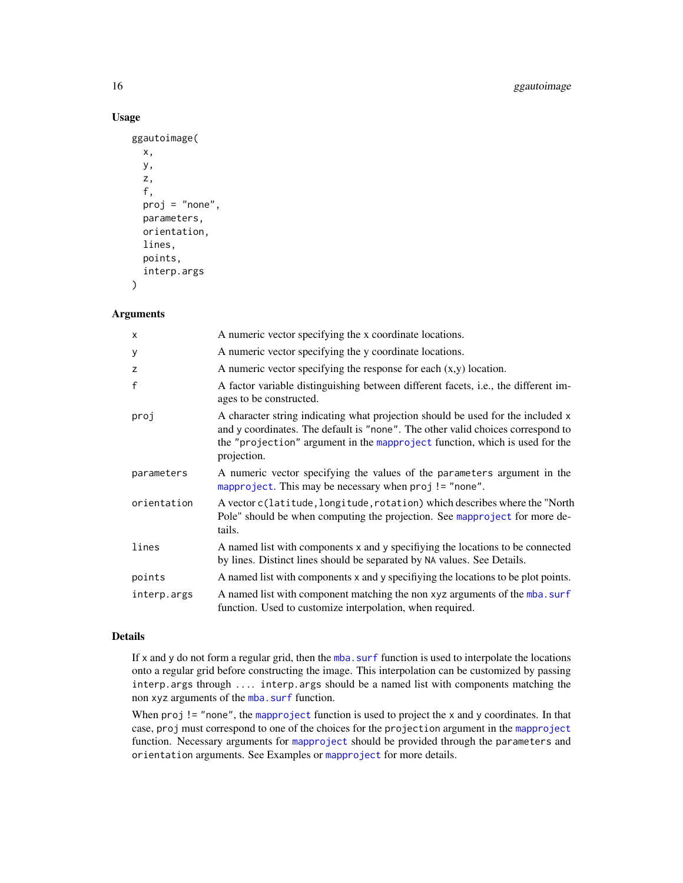### Usage

```
ggautoimage(
  x,
  y,
  z,
  f,
  proj = "none",
  parameters,
  orientation,
  lines,
  points,
  interp.args
\mathcal{L}
```
#### Arguments

| $\times$     | A numeric vector specifying the x coordinate locations.                                                                                                                                                                                                          |
|--------------|------------------------------------------------------------------------------------------------------------------------------------------------------------------------------------------------------------------------------------------------------------------|
| У            | A numeric vector specifying the y coordinate locations.                                                                                                                                                                                                          |
| z            | A numeric vector specifying the response for each $(x, y)$ location.                                                                                                                                                                                             |
| $\mathsf{f}$ | A factor variable distinguishing between different facets, <i>i.e.</i> , the different im-<br>ages to be constructed.                                                                                                                                            |
| proj         | A character string indicating what projection should be used for the included x<br>and y coordinates. The default is "none". The other valid choices correspond to<br>the "projection" argument in the mapproject function, which is used for the<br>projection. |
| parameters   | A numeric vector specifying the values of the parameters argument in the<br>mapproject. This may be necessary when proj != "none".                                                                                                                               |
| orientation  | A vector c(latitude, longitude, rotation) which describes where the "North<br>Pole" should be when computing the projection. See mapproject for more de-<br>tails.                                                                                               |
| lines        | A named list with components x and y specifiying the locations to be connected<br>by lines. Distinct lines should be separated by NA values. See Details.                                                                                                        |
| points       | A named list with components x and y specifiying the locations to be plot points.                                                                                                                                                                                |
| interp.args  | A named list with component matching the non xyz arguments of the mba. surf<br>function. Used to customize interpolation, when required.                                                                                                                         |

#### Details

If x and y do not form a regular grid, then the [mba.surf](#page-0-0) function is used to interpolate the locations onto a regular grid before constructing the image. This interpolation can be customized by passing interp.args through .... interp.args should be a named list with components matching the non xyz arguments of the [mba.surf](#page-0-0) function.

When  $proj$  ! = "none", the [mapproject](#page-0-0) function is used to project the x and y coordinates. In that case, proj must correspond to one of the choices for the projection argument in the [mapproject](#page-0-0) function. Necessary arguments for [mapproject](#page-0-0) should be provided through the parameters and orientation arguments. See Examples or [mapproject](#page-0-0) for more details.

<span id="page-15-0"></span>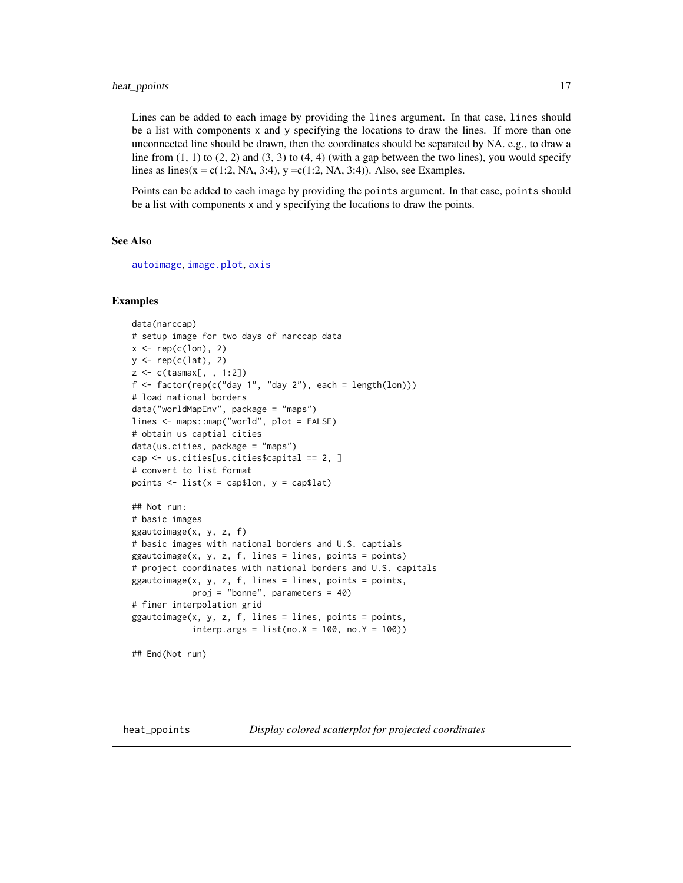<span id="page-16-0"></span>Lines can be added to each image by providing the lines argument. In that case, lines should be a list with components x and y specifying the locations to draw the lines. If more than one unconnected line should be drawn, then the coordinates should be separated by NA. e.g., to draw a line from  $(1, 1)$  to  $(2, 2)$  and  $(3, 3)$  to  $(4, 4)$  (with a gap between the two lines), you would specify lines as lines(x = c(1:2, NA, 3:4), y = c(1:2, NA, 3:4)). Also, see Examples.

Points can be added to each image by providing the points argument. In that case, points should be a list with components x and y specifying the locations to draw the points.

#### See Also

[autoimage](#page-1-1), [image.plot](#page-0-0), [axis](#page-0-0)

#### Examples

```
data(narccap)
# setup image for two days of narccap data
x \leftarrow \text{rep}(c(\text{lon}), 2)y \leftarrow \text{rep}(c(lat), 2)z <- c(tasmax[, , 1:2])
f \leftarrow factor(rep(c("day 1", "day 2")), each = length(lon)))
# load national borders
data("worldMapEnv", package = "maps")
lines <- maps::map("world", plot = FALSE)
# obtain us captial cities
data(us.cities, package = "maps")
cap <- us.cities[us.cities$capital == 2, ]
# convert to list format
points \le list(x = cap$lon, y = cap$lat)
## Not run:
# basic images
ggautoimage(x, y, z, f)
# basic images with national borders and U.S. captials
ggautoimage(x, y, z, f, lines = lines, points = points)# project coordinates with national borders and U.S. capitals
ggautoimage(x, y, z, f, lines = lines, points = points,proj = "bonne", parameters = 40)
# finer interpolation grid
ggautoimage(x, y, z, f, lines = lines, points = points,interp.args = list(no.X = 100, no.Y = 100)
```

```
## End(Not run)
```
<span id="page-16-1"></span>heat\_ppoints *Display colored scatterplot for projected coordinates*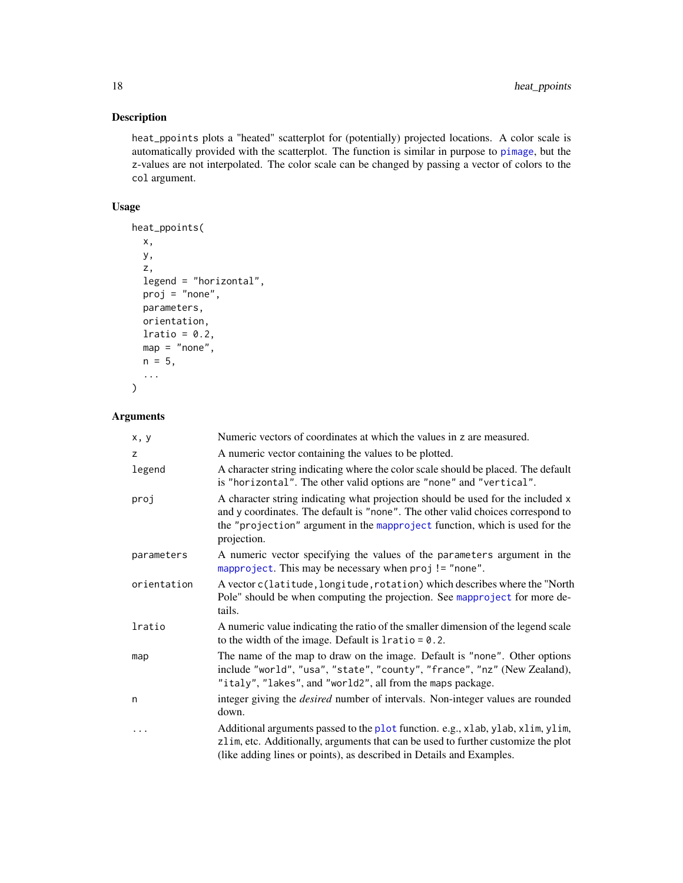# Description

heat\_ppoints plots a "heated" scatterplot for (potentially) projected locations. A color scale is automatically provided with the scatterplot. The function is similar in purpose to [pimage](#page-24-1), but the z-values are not interpolated. The color scale can be changed by passing a vector of colors to the col argument.

# Usage

```
heat_ppoints(
 x,
 y,
 z,
 legend = "horizontal",
 proj = "none",
 parameters,
 orientation,
 lratio = 0.2,
 map = "none",n = 5,
  ...
)
```
# Arguments

| x, y        | Numeric vectors of coordinates at which the values in z are measured.                                                                                                                                                                                            |
|-------------|------------------------------------------------------------------------------------------------------------------------------------------------------------------------------------------------------------------------------------------------------------------|
| z           | A numeric vector containing the values to be plotted.                                                                                                                                                                                                            |
| legend      | A character string indicating where the color scale should be placed. The default<br>is "horizontal". The other valid options are "none" and "vertical".                                                                                                         |
| proj        | A character string indicating what projection should be used for the included x<br>and y coordinates. The default is "none". The other valid choices correspond to<br>the "projection" argument in the mapproject function, which is used for the<br>projection. |
| parameters  | A numeric vector specifying the values of the parameters argument in the<br>mapproject. This may be necessary when proj != "none".                                                                                                                               |
| orientation | A vector c(latitude, longitude, rotation) which describes where the "North<br>Pole" should be when computing the projection. See mapproject for more de-<br>tails.                                                                                               |
| lratio      | A numeric value indicating the ratio of the smaller dimension of the legend scale<br>to the width of the image. Default is $l$ ratio = 0.2.                                                                                                                      |
| map         | The name of the map to draw on the image. Default is "none". Other options<br>include "world", "usa", "state", "county", "france", "nz" (New Zealand),<br>"italy", "lakes", and "world2", all from the maps package.                                             |
| n           | integer giving the <i>desired</i> number of intervals. Non-integer values are rounded<br>down.                                                                                                                                                                   |
|             | Additional arguments passed to the plot function. e.g., xlab, ylab, xlim, ylim,<br>zlim, etc. Additionally, arguments that can be used to further customize the plot<br>(like adding lines or points), as described in Details and Examples.                     |

<span id="page-17-0"></span>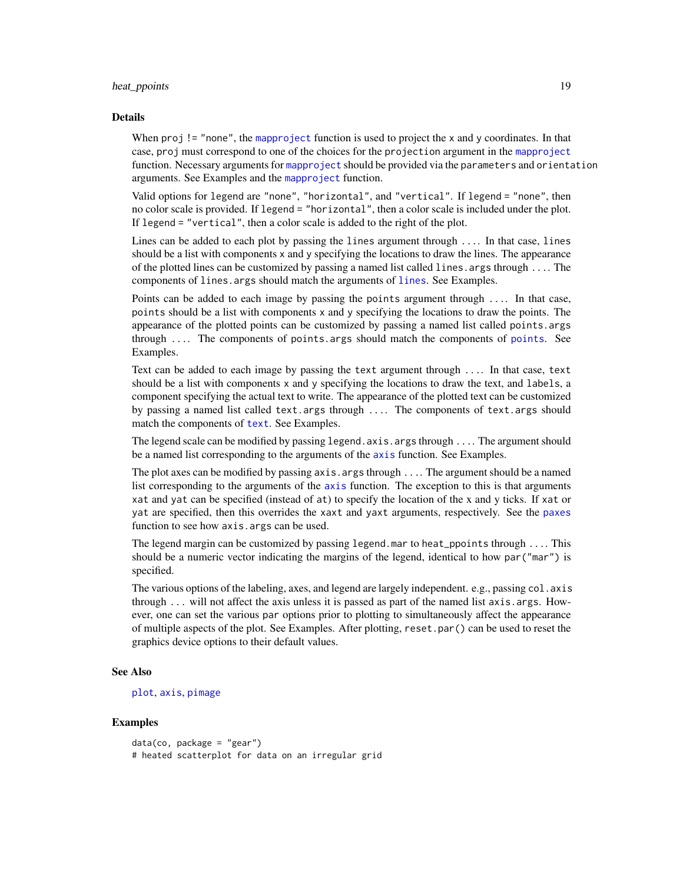#### <span id="page-18-0"></span>heat\_ppoints 19

#### Details

When  $proj$ ! = "none", the [mapproject](#page-0-0) function is used to project the x and y coordinates. In that case, proj must correspond to one of the choices for the projection argument in the [mapproject](#page-0-0) function. Necessary arguments for [mapproject](#page-0-0) should be provided via the parameters and orientation arguments. See Examples and the [mapproject](#page-0-0) function.

Valid options for legend are "none", "horizontal", and "vertical". If legend = "none", then no color scale is provided. If legend = "horizontal", then a color scale is included under the plot. If legend = "vertical", then a color scale is added to the right of the plot.

Lines can be added to each plot by passing the lines argument through .... In that case, lines should be a list with components x and y specifying the locations to draw the lines. The appearance of the plotted lines can be customized by passing a named list called lines.args through .... The components of [lines](#page-0-0). args should match the arguments of lines. See Examples.

Points can be added to each image by passing the points argument through .... In that case, points should be a list with components  $x$  and  $y$  specifying the locations to draw the points. The appearance of the plotted points can be customized by passing a named list called points.args through  $\ldots$  The components of [points](#page-0-0) args should match the components of points. See Examples.

Text can be added to each image by passing the text argument through .... In that case, text should be a list with components x and y specifying the locations to draw the text, and labels, a component specifying the actual text to write. The appearance of the plotted text can be customized by passing a named list called text.args through .... The components of text.args should match the components of [text](#page-0-0). See Examples.

The legend scale can be modified by passing legend.axis.args through .... The argument should be a named list corresponding to the arguments of the [axis](#page-0-0) function. See Examples.

The plot axes can be modified by passing axis. args through ... The argument should be a named list corresponding to the arguments of the [axis](#page-0-0) function. The exception to this is that arguments xat and yat can be specified (instead of at) to specify the location of the x and y ticks. If xat or yat are specified, then this overrides the xaxt and yaxt arguments, respectively. See the [paxes](#page-23-1) function to see how axis.args can be used.

The legend margin can be customized by passing legend.mar to heat\_ppoints through .... This should be a numeric vector indicating the margins of the legend, identical to how par("mar") is specified.

The various options of the labeling, axes, and legend are largely independent. e.g., passing  $col$ . axis through ... will not affect the axis unless it is passed as part of the named list axis.args. However, one can set the various par options prior to plotting to simultaneously affect the appearance of multiple aspects of the plot. See Examples. After plotting, reset.par() can be used to reset the graphics device options to their default values.

#### See Also

#### [plot](#page-0-0), [axis](#page-0-0), [pimage](#page-24-1)

```
data(co, package = "gear")
# heated scatterplot for data on an irregular grid
```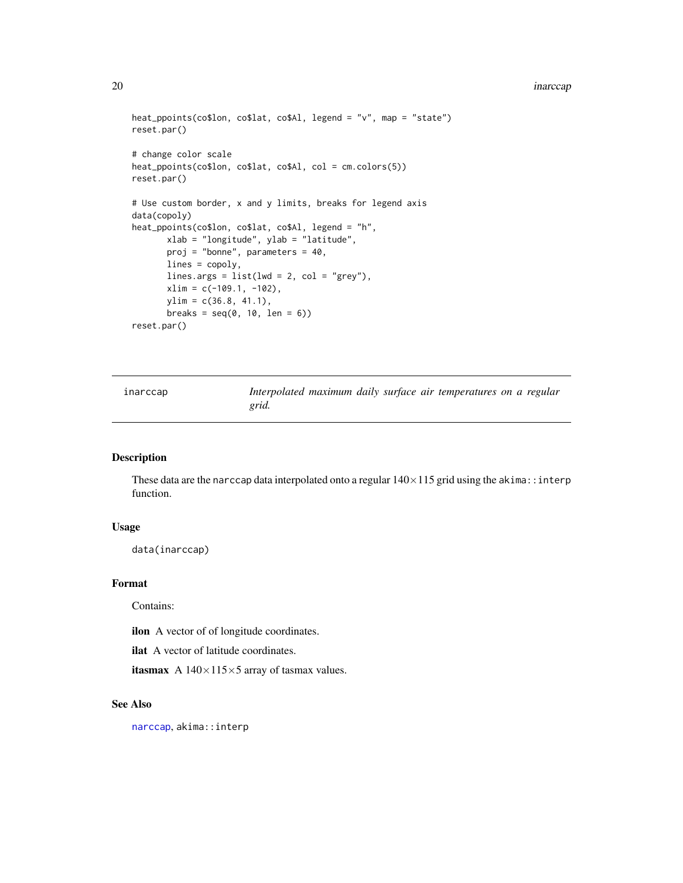#### <span id="page-19-0"></span>20 inarccap and the contract of the contract of the contract of the contract of the contract of the contract of the contract of the contract of the contract of the contract of the contract of the contract of the contract o

```
heat_ppoints(co$lon, co$lat, co$Al, legend = "v", map = "state")
reset.par()
# change color scale
heat_ppoints(co$lon, co$lat, co$Al, col = cm.colors(5))
reset.par()
# Use custom border, x and y limits, breaks for legend axis
data(copoly)
heat_ppoints(co$lon, co$lat, co$Al, legend = "h",
       xlab = "longitude", ylab = "latitude",
       proj = "bonne", parameters = 40,
      lines = copoly,
      lines.args = list(lwd = 2, col = "grey"),xlim = c(-109.1, -102),
      ylim = c(36.8, 41.1),
       breaks = seq(0, 10, len = 6)reset.par()
```

|  | inarccap |  |
|--|----------|--|
|  |          |  |

Interpolated maximum daily surface air temperatures on a regular *grid.*

# Description

These data are the narccap data interpolated onto a regular  $140\times115$  grid using the akima::interp function.

# Usage

```
data(inarccap)
```
#### Format

Contains:

ilon A vector of of longitude coordinates.

ilat A vector of latitude coordinates.

itasmax A  $140\times115\times5$  array of tasmax values.

#### See Also

[narccap](#page-21-1), akima::interp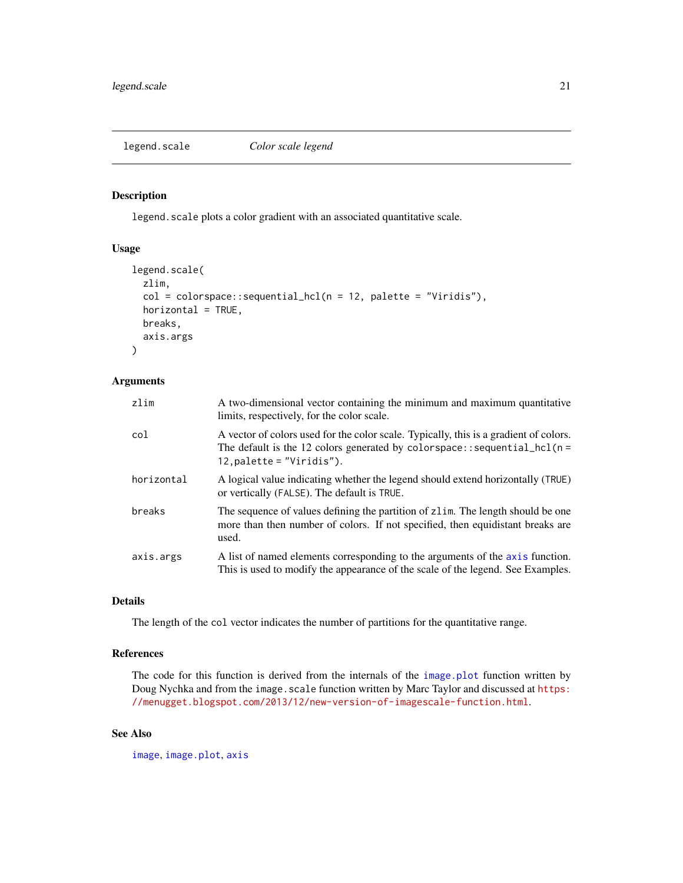<span id="page-20-1"></span><span id="page-20-0"></span>

# Description

legend. scale plots a color gradient with an associated quantitative scale.

### Usage

```
legend.scale(
  zlim,
  col = colorspace::sequential\_hcl(n = 12, palette = "Viridis"),horizontal = TRUE,
 breaks,
  axis.args
)
```
# Arguments

| zlim       | A two-dimensional vector containing the minimum and maximum quantitative<br>limits, respectively, for the color scale.                                                                                |
|------------|-------------------------------------------------------------------------------------------------------------------------------------------------------------------------------------------------------|
| col        | A vector of colors used for the color scale. Typically, this is a gradient of colors.<br>The default is the 12 colors generated by colorspace:: sequential_hcl( $n =$<br>$12$ , palette = "Viridis"). |
| horizontal | A logical value indicating whether the legend should extend horizontally (TRUE)<br>or vertically (FALSE). The default is TRUE.                                                                        |
| breaks     | The sequence of values defining the partition of z l im. The length should be one<br>more than then number of colors. If not specified, then equidistant breaks are<br>used.                          |
| axis.args  | A list of named elements corresponding to the arguments of the axis function.<br>This is used to modify the appearance of the scale of the legend. See Examples.                                      |

#### Details

The length of the col vector indicates the number of partitions for the quantitative range.

### References

The code for this function is derived from the internals of the [image.plot](#page-0-0) function written by Doug Nychka and from the image.scale function written by Marc Taylor and discussed at [https:](https://menugget.blogspot.com/2013/12/new-version-of-imagescale-function.html) [//menugget.blogspot.com/2013/12/new-version-of-imagescale-function.html](https://menugget.blogspot.com/2013/12/new-version-of-imagescale-function.html).

#### See Also

[image](#page-0-0), [image.plot](#page-0-0), [axis](#page-0-0)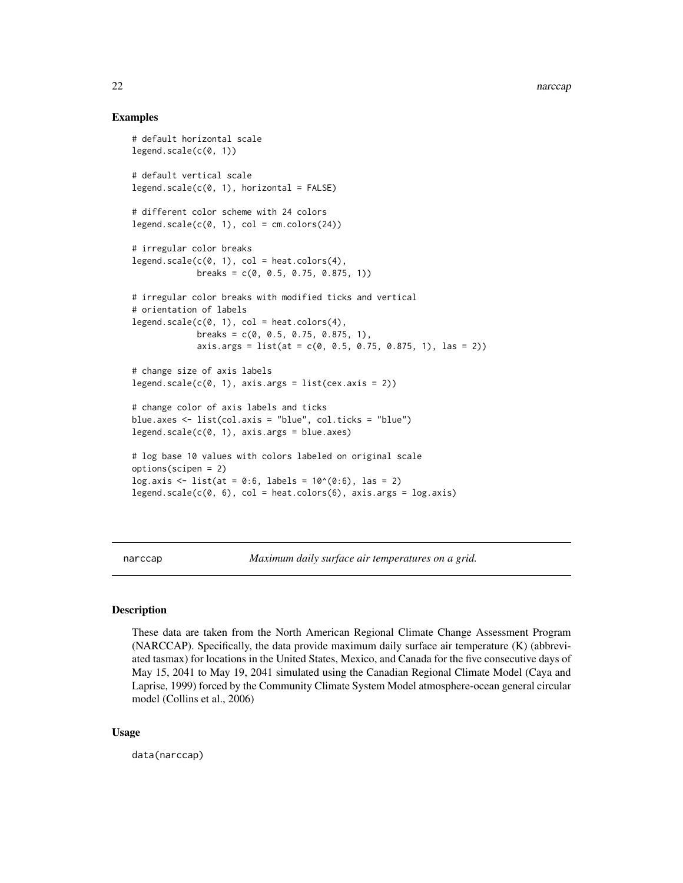#### Examples

```
# default horizontal scale
legend.scale(c(0, 1))# default vertical scale
legend.scale(c(0, 1), horizontal = FALSE)# different color scheme with 24 colors
legend.scale(c(0, 1), col = cm.colors(24))# irregular color breaks
legend.scale(c(0, 1), col = heat.colors(4),
             breaks = c(0, 0.5, 0.75, 0.875, 1)# irregular color breaks with modified ticks and vertical
# orientation of labels
legend.scale(c(0, 1), col = heat.colors(4),
             breaks = c(0, 0.5, 0.75, 0.875, 1),
             axis.args = list(at = c(0, 0.5, 0.75, 0.875, 1), las = 2))# change size of axis labels
legend.scale(c(0, 1), axis.args = list(cex.axis = 2))# change color of axis labels and ticks
blue.axes <- list(col.axis = "blue", col.ticks = "blue")
legend.scale(c(0, 1), axis. args = blue. axes)# log base 10 values with colors labeled on original scale
options(scipen = 2)
log.axis <- list(at = 0:6, labels = 10^{\circ}(0:6), las = 2)
legend.scale(c(\emptyset, 6), col = heat.colors(6), axis.args = log.axis)
```
<span id="page-21-1"></span>narccap *Maximum daily surface air temperatures on a grid.*

#### Description

These data are taken from the North American Regional Climate Change Assessment Program (NARCCAP). Specifically, the data provide maximum daily surface air temperature (K) (abbreviated tasmax) for locations in the United States, Mexico, and Canada for the five consecutive days of May 15, 2041 to May 19, 2041 simulated using the Canadian Regional Climate Model (Caya and Laprise, 1999) forced by the Community Climate System Model atmosphere-ocean general circular model (Collins et al., 2006)

#### Usage

data(narccap)

<span id="page-21-0"></span>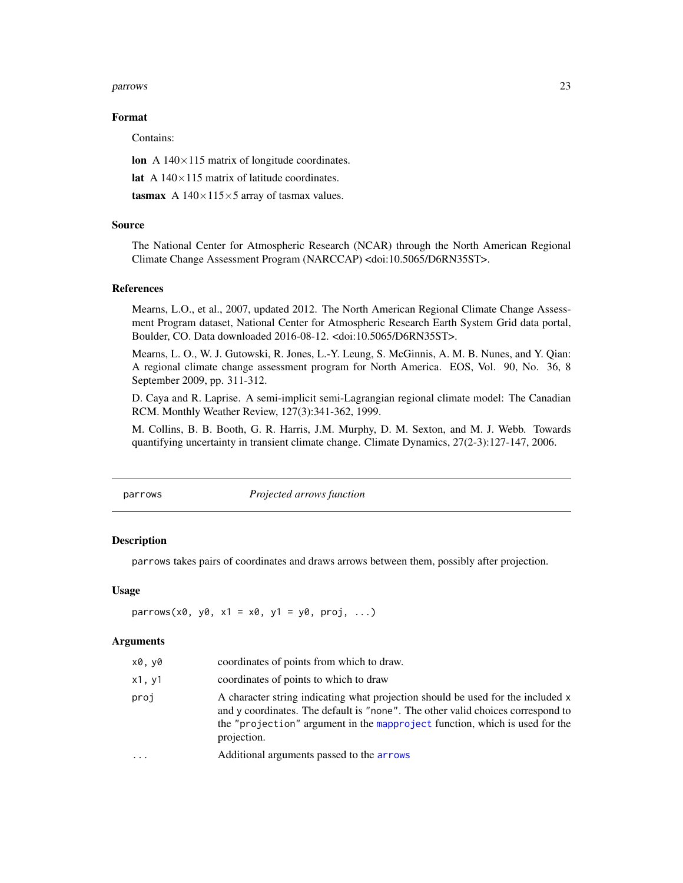#### <span id="page-22-0"></span>parrows 23

#### Format

Contains:

lon A  $140\times115$  matrix of longitude coordinates.

lat A  $140\times115$  matrix of latitude coordinates.

tasmax A  $140\times115\times5$  array of tasmax values.

#### Source

The National Center for Atmospheric Research (NCAR) through the North American Regional Climate Change Assessment Program (NARCCAP) <doi:10.5065/D6RN35ST>.

#### References

Mearns, L.O., et al., 2007, updated 2012. The North American Regional Climate Change Assessment Program dataset, National Center for Atmospheric Research Earth System Grid data portal, Boulder, CO. Data downloaded 2016-08-12. <doi:10.5065/D6RN35ST>.

Mearns, L. O., W. J. Gutowski, R. Jones, L.-Y. Leung, S. McGinnis, A. M. B. Nunes, and Y. Qian: A regional climate change assessment program for North America. EOS, Vol. 90, No. 36, 8 September 2009, pp. 311-312.

D. Caya and R. Laprise. A semi-implicit semi-Lagrangian regional climate model: The Canadian RCM. Monthly Weather Review, 127(3):341-362, 1999.

M. Collins, B. B. Booth, G. R. Harris, J.M. Murphy, D. M. Sexton, and M. J. Webb. Towards quantifying uncertainty in transient climate change. Climate Dynamics, 27(2-3):127-147, 2006.

parrows *Projected arrows function*

#### Description

parrows takes pairs of coordinates and draws arrows between them, possibly after projection.

#### Usage

 $parrows(x0, y0, x1 = x0, y1 = y0, proj, ...)$ 

#### Arguments

| x0, y0 | coordinates of points from which to draw.                                                                                                                                                                                                                        |
|--------|------------------------------------------------------------------------------------------------------------------------------------------------------------------------------------------------------------------------------------------------------------------|
| x1, y1 | coordinates of points to which to draw                                                                                                                                                                                                                           |
| proj   | A character string indicating what projection should be used for the included x<br>and y coordinates. The default is "none". The other valid choices correspond to<br>the "projection" argument in the mapproject function, which is used for the<br>projection. |
| .      | Additional arguments passed to the arrows                                                                                                                                                                                                                        |
|        |                                                                                                                                                                                                                                                                  |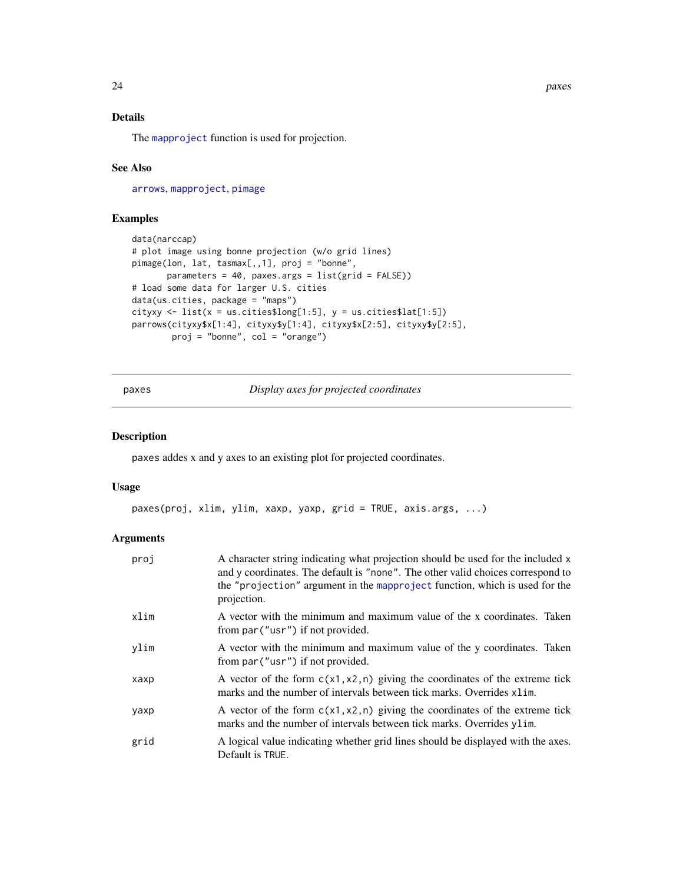<span id="page-23-0"></span>24 paxes and the contract of the contract of the contract of the contract of the contract of the contract of the contract of the contract of the contract of the contract of the contract of the contract of the contract of t

# Details

The [mapproject](#page-0-0) function is used for projection.

#### See Also

[arrows](#page-0-0), [mapproject](#page-0-0), [pimage](#page-24-1)

# Examples

```
data(narccap)
# plot image using bonne projection (w/o grid lines)
pimage(lon, lat, tasmax[,,1], proj = "bonne",
       parameters = 40, paxes.args = list(grid = FALSE))
# load some data for larger U.S. cities
data(us.cities, package = "maps")
cityxy \le list(x = us.cities$long[1:5], y = us.cities$lat[1:5])
parrows(cityxy$x[1:4], cityxy$y[1:4], cityxy$x[2:5], cityxy$y[2:5],
       proj = "bonne", col = "orange")
```
<span id="page-23-1"></span>paxes *Display axes for projected coordinates*

#### Description

paxes addes x and y axes to an existing plot for projected coordinates.

#### Usage

```
paxes(proj, xlim, ylim, xaxp, yaxp, grid = TRUE, axis.args, ...)
```
# Arguments

| proj | A character string indicating what projection should be used for the included x<br>and y coordinates. The default is "none". The other valid choices correspond to<br>the "projection" argument in the mapproject function, which is used for the<br>projection. |
|------|------------------------------------------------------------------------------------------------------------------------------------------------------------------------------------------------------------------------------------------------------------------|
| xlim | A vector with the minimum and maximum value of the x coordinates. Taken<br>from par ("usr") if not provided.                                                                                                                                                     |
| vlim | A vector with the minimum and maximum value of the y coordinates. Taken<br>from par ("usr") if not provided.                                                                                                                                                     |
| хахр | A vector of the form $c(x1, x2, n)$ giving the coordinates of the extreme tick<br>marks and the number of intervals between tick marks. Overrides x1im.                                                                                                          |
| yaxp | A vector of the form $c(x1, x2, n)$ giving the coordinates of the extreme tick<br>marks and the number of intervals between tick marks. Overrides ylim.                                                                                                          |
| grid | A logical value indicating whether grid lines should be displayed with the axes.<br>Default is TRUE.                                                                                                                                                             |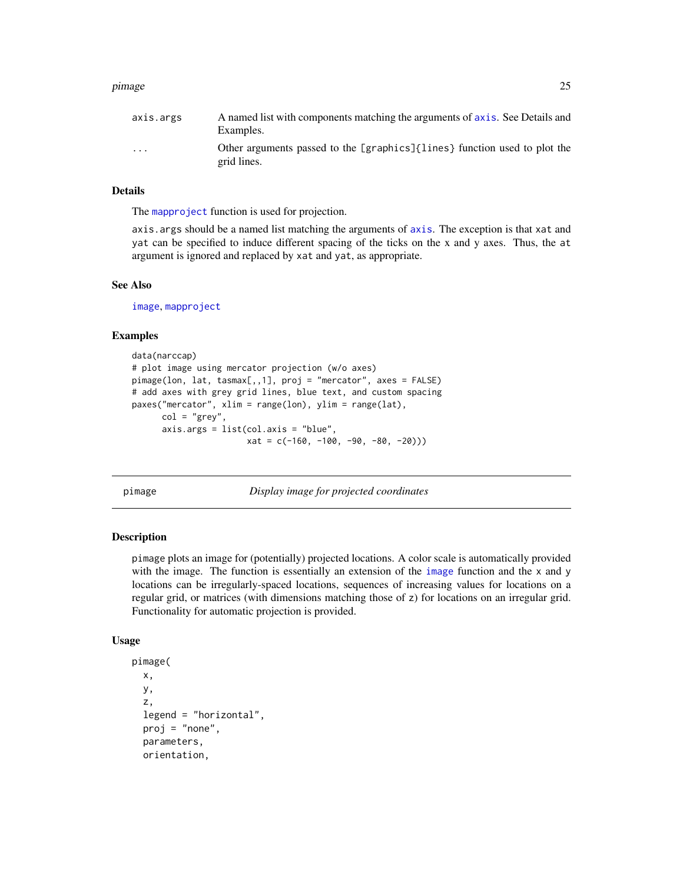#### <span id="page-24-0"></span>pimage 25

| axis.args               | A named list with components matching the arguments of axis. See Details and<br>Examples. |
|-------------------------|-------------------------------------------------------------------------------------------|
| $\cdot$ $\cdot$ $\cdot$ | Other arguments passed to the [graphics]{lines} function used to plot the<br>grid lines.  |

# Details

The [mapproject](#page-0-0) function is used for projection.

axis.args should be a named list matching the arguments of [axis](#page-0-0). The exception is that xat and yat can be specified to induce different spacing of the ticks on the x and y axes. Thus, the at argument is ignored and replaced by xat and yat, as appropriate.

#### See Also

[image](#page-0-0), [mapproject](#page-0-0)

#### Examples

```
data(narccap)
# plot image using mercator projection (w/o axes)
pimage(lon, lat, tasmax[,,1], proj = "mercator", axes = FALSE)
# add axes with grey grid lines, blue text, and custom spacing
paxes("mercator", xlim = range(lon), ylim = range(lat),
     col = "grey"axis.args = list(col.axis = "blue",
                       xat = c(-160, -100, -90, -80, -20))
```
<span id="page-24-1"></span>

pimage *Display image for projected coordinates*

#### Description

pimage plots an image for (potentially) projected locations. A color scale is automatically provided with the image. The function is essentially an extension of the [image](#page-0-0) function and the x and y locations can be irregularly-spaced locations, sequences of increasing values for locations on a regular grid, or matrices (with dimensions matching those of z) for locations on an irregular grid. Functionality for automatic projection is provided.

#### Usage

```
pimage(
 x,
 y,
  z,
  legend = "horizontal",
  proj = "none",parameters,
  orientation,
```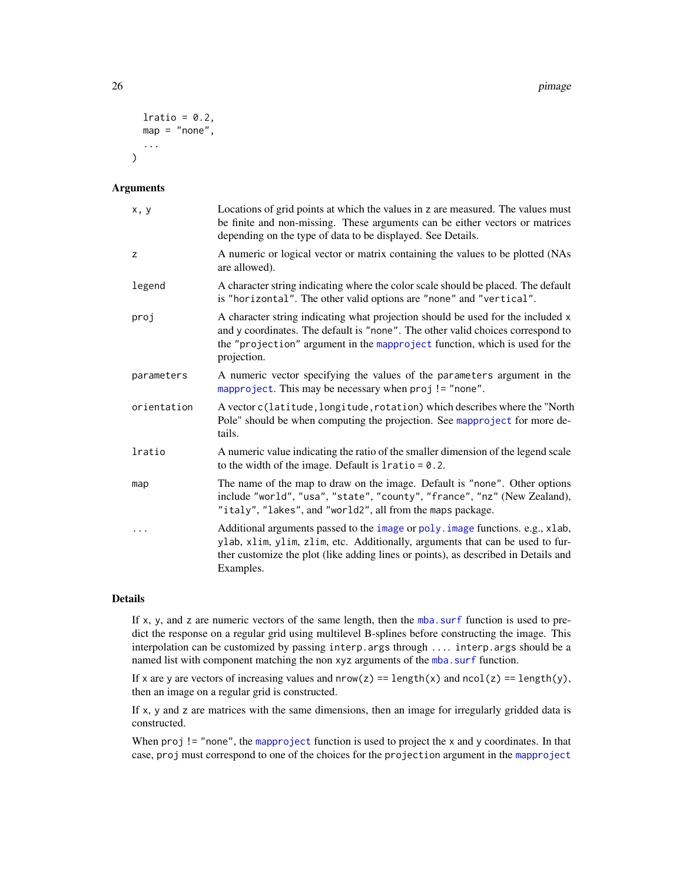```
lratio = 0.2,
  map = "none",...
\lambda
```
#### Arguments

| x, y        | Locations of grid points at which the values in z are measured. The values must<br>be finite and non-missing. These arguments can be either vectors or matrices<br>depending on the type of data to be displayed. See Details.                                     |
|-------------|--------------------------------------------------------------------------------------------------------------------------------------------------------------------------------------------------------------------------------------------------------------------|
| Z           | A numeric or logical vector or matrix containing the values to be plotted (NAs<br>are allowed).                                                                                                                                                                    |
| legend      | A character string indicating where the color scale should be placed. The default<br>is "horizontal". The other valid options are "none" and "vertical".                                                                                                           |
| proj        | A character string indicating what projection should be used for the included x<br>and y coordinates. The default is "none". The other valid choices correspond to<br>the "projection" argument in the mapproject function, which is used for the<br>projection.   |
| parameters  | A numeric vector specifying the values of the parameters argument in the<br>mapproject. This may be necessary when proj != "none".                                                                                                                                 |
| orientation | A vector c(latitude, longitude, rotation) which describes where the "North<br>Pole" should be when computing the projection. See mapproject for more de-<br>tails.                                                                                                 |
| lratio      | A numeric value indicating the ratio of the smaller dimension of the legend scale<br>to the width of the image. Default is $l$ ratio = 0.2.                                                                                                                        |
| map         | The name of the map to draw on the image. Default is "none". Other options<br>include "world", "usa", "state", "county", "france", "nz" (New Zealand),<br>"italy", "lakes", and "world2", all from the maps package.                                               |
|             | Additional arguments passed to the image or poly. image functions. e.g., xlab,<br>ylab, xlim, ylim, zlim, etc. Additionally, arguments that can be used to fur-<br>ther customize the plot (like adding lines or points), as described in Details and<br>Examples. |

# Details

If x, y, and z are numeric vectors of the same length, then the [mba.surf](#page-0-0) function is used to predict the response on a regular grid using multilevel B-splines before constructing the image. This interpolation can be customized by passing interp.args through .... interp.args should be a named list with component matching the non xyz arguments of the [mba.surf](#page-0-0) function.

If x are y are vectors of increasing values and  $nrow(z) == length(x)$  and  $ncol(z) == length(y)$ , then an image on a regular grid is constructed.

If x, y and z are matrices with the same dimensions, then an image for irregularly gridded data is constructed.

When proj != "none", the [mapproject](#page-0-0) function is used to project the x and y coordinates. In that case, proj must correspond to one of the choices for the projection argument in the [mapproject](#page-0-0)

<span id="page-25-0"></span>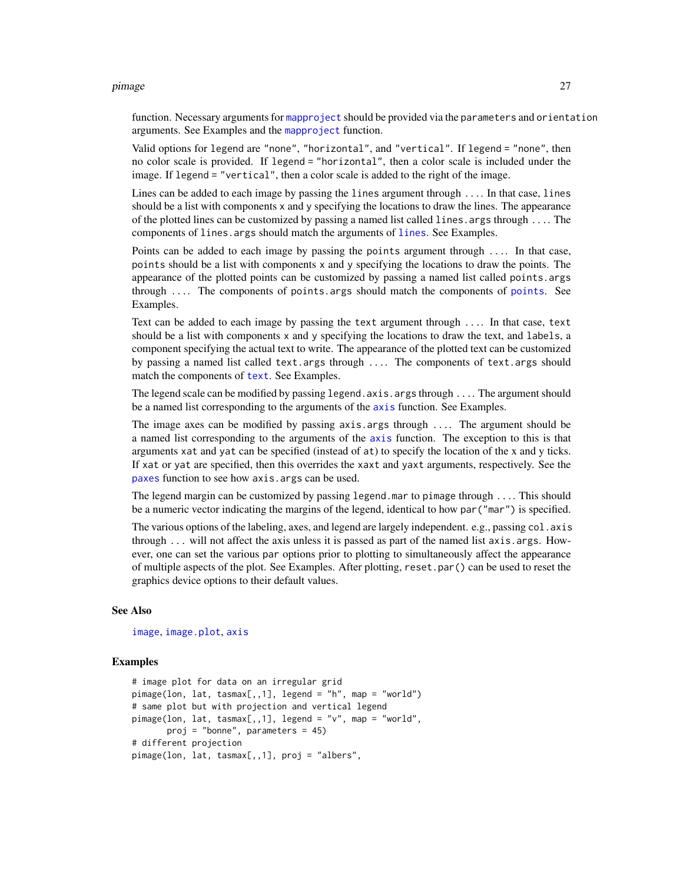#### <span id="page-26-0"></span>pimage 27

function. Necessary arguments for [mapproject](#page-0-0) should be provided via the parameters and orientation arguments. See Examples and the [mapproject](#page-0-0) function.

Valid options for legend are "none", "horizontal", and "vertical". If legend = "none", then no color scale is provided. If legend = "horizontal", then a color scale is included under the image. If legend = "vertical", then a color scale is added to the right of the image.

Lines can be added to each image by passing the lines argument through .... In that case, lines should be a list with components x and y specifying the locations to draw the lines. The appearance of the plotted lines can be customized by passing a named list called lines.args through .... The components of lines.args should match the arguments of [lines](#page-0-0). See Examples.

Points can be added to each image by passing the points argument through .... In that case, points should be a list with components x and y specifying the locations to draw the points. The appearance of the plotted points can be customized by passing a named list called points.args through  $\ldots$  The components of [points](#page-0-0) args should match the components of points. See Examples.

Text can be added to each image by passing the text argument through .... In that case, text should be a list with components x and y specifying the locations to draw the text, and labels, a component specifying the actual text to write. The appearance of the plotted text can be customized by passing a named list called text.args through .... The components of text.args should match the components of [text](#page-0-0). See Examples.

The legend scale can be modified by passing legend. axis. args through ... The argument should be a named list corresponding to the arguments of the [axis](#page-0-0) function. See Examples.

The image axes can be modified by passing axis.args through .... The argument should be a named list corresponding to the arguments of the [axis](#page-0-0) function. The exception to this is that arguments xat and yat can be specified (instead of at) to specify the location of the x and y ticks. If xat or yat are specified, then this overrides the xaxt and yaxt arguments, respectively. See the [paxes](#page-23-1) function to see how axis.args can be used.

The legend margin can be customized by passing legend.mar to pimage through .... This should be a numeric vector indicating the margins of the legend, identical to how par("mar") is specified.

The various options of the labeling, axes, and legend are largely independent. e.g., passing col. axis through  $\ldots$  will not affect the axis unless it is passed as part of the named list axis.args. However, one can set the various par options prior to plotting to simultaneously affect the appearance of multiple aspects of the plot. See Examples. After plotting, reset.par() can be used to reset the graphics device options to their default values.

#### See Also

[image](#page-0-0), [image.plot](#page-0-0), [axis](#page-0-0)

```
# image plot for data on an irregular grid
pimage(lon, lat, tasmax[,,1], legend = "h", map = "world")
# same plot but with projection and vertical legend
pimage(lon, lat, tasmax[,,1], legend = "v", map = "world",
      proj = "bonne", parameters = 45)
# different projection
pimage(lon, lat, tasmax[,,1], proj = "albers",
```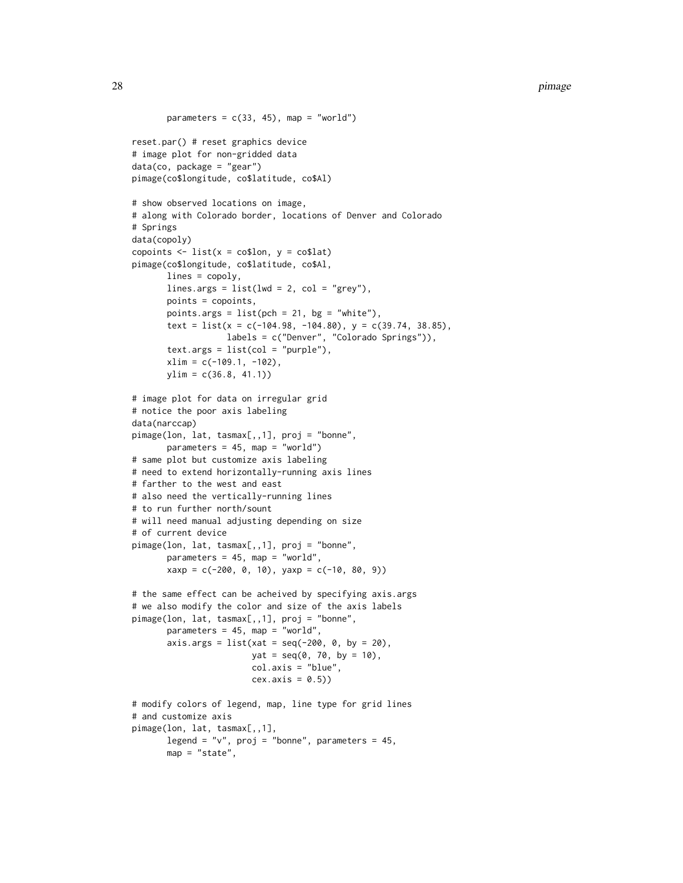```
parameters = c(33, 45), map = "world")
reset.par() # reset graphics device
# image plot for non-gridded data
data(co, package = "gear")
pimage(co$longitude, co$latitude, co$Al)
# show observed locations on image,
# along with Colorado border, locations of Denver and Colorado
# Springs
data(copoly)
copoints \le list(x = co$lon, y = co$lat)
pimage(co$longitude, co$latitude, co$Al,
      lines = copoly,
      lines.args = list(lwd = 2, col = "grey"),points = copoints,
      points.args = list(pch = 21, bg = "white"),
      text = list(x = c(-104.98, -104.80), y = c(39.74, 38.85),labels = c("Denver", "Colorado Springs")),
      text. args = list(col = "purple"),xlim = c(-109.1, -102),
      ylim = c(36.8, 41.1)# image plot for data on irregular grid
# notice the poor axis labeling
data(narccap)
pimage(lon, lat, tasmax[,,1], proj = "bonne",
      parameters = 45, map = "world")
# same plot but customize axis labeling
# need to extend horizontally-running axis lines
# farther to the west and east
# also need the vertically-running lines
# to run further north/sount
# will need manual adjusting depending on size
# of current device
pimage(lon, lat, tasmax[,,1], proj = "bonne",
      parameters = 45, map = "world",
      xaxy = c(-200, 0, 10), yaxy = c(-10, 80, 9))# the same effect can be acheived by specifying axis.args
# we also modify the color and size of the axis labels
pimage(lon, lat, tasmax[,,1], proj = "bonne",
      parameters = 45, map = "world",
      axis.args = list(xat = seq(-200, 0, by = 20),yat = seq(0, 70, by = 10),
                        col.axis = "blue",
                        cex. axis = 0.5)# modify colors of legend, map, line type for grid lines
# and customize axis
pimage(lon, lat, tasmax[,,1],
      legend = "v", proj = "bonne", parameters = 45,
```

```
map = "state"
```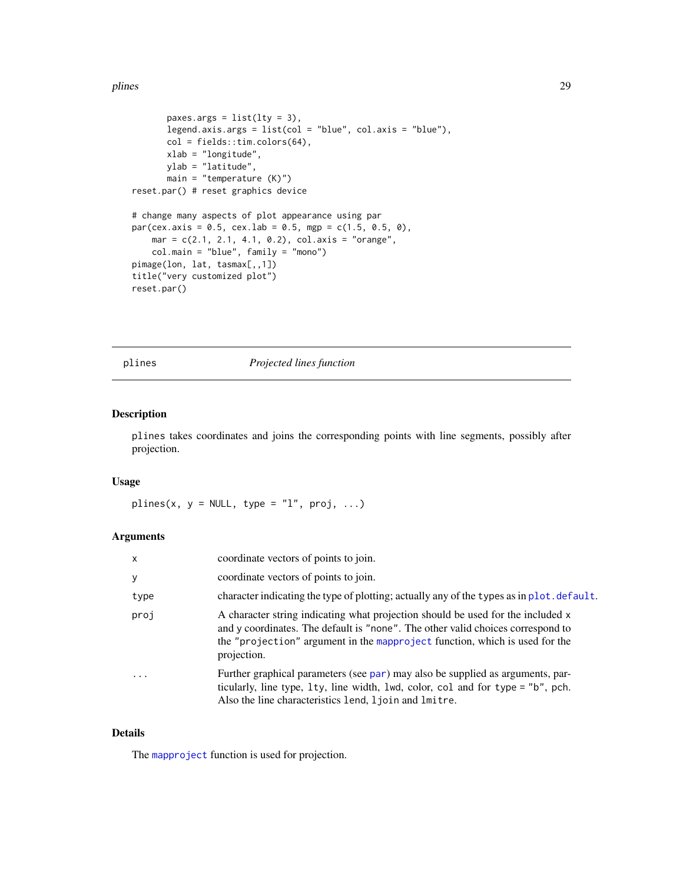#### <span id="page-28-0"></span>plines 29

```
paxes.args = list(lty = 3),
       legend.axis.args = list(col = "blue", col.axis = "blue"),col = fields::tim.colors(64),
       xlab = "longitude",
       ylab = "latitude",
       main = "temperature (K)")reset.par() # reset graphics device
# change many aspects of plot appearance using par
par(cex.axis = 0.5, cex.lab = 0.5, mgp = c(1.5, 0.5, 0),mar = c(2.1, 2.1, 4.1, 0.2), col. axis = "orange",col.main = "blue", family = "mono")
pimage(lon, lat, tasmax[,,1])
title("very customized plot")
reset.par()
```
#### plines *Projected lines function*

### Description

plines takes coordinates and joins the corresponding points with line segments, possibly after projection.

#### Usage

plines(x,  $y = NULL$ , type = "l", proj, ...)

#### Arguments

| $\times$                | coordinate vectors of points to join.                                                                                                                                                                                                                            |
|-------------------------|------------------------------------------------------------------------------------------------------------------------------------------------------------------------------------------------------------------------------------------------------------------|
| y                       | coordinate vectors of points to join.                                                                                                                                                                                                                            |
| type                    | character indicating the type of plotting; actually any of the types as in plot. default.                                                                                                                                                                        |
| proj                    | A character string indicating what projection should be used for the included x<br>and y coordinates. The default is "none". The other valid choices correspond to<br>the "projection" argument in the mapproject function, which is used for the<br>projection. |
| $\cdot$ $\cdot$ $\cdot$ | Further graphical parameters (see par) may also be supplied as arguments, par-<br>ticularly, line type, 1ty, line width, 1wd, color, col and for type = "b", pch.<br>Also the line characteristics lend, ljoin and lmitre.                                       |

#### Details

The [mapproject](#page-0-0) function is used for projection.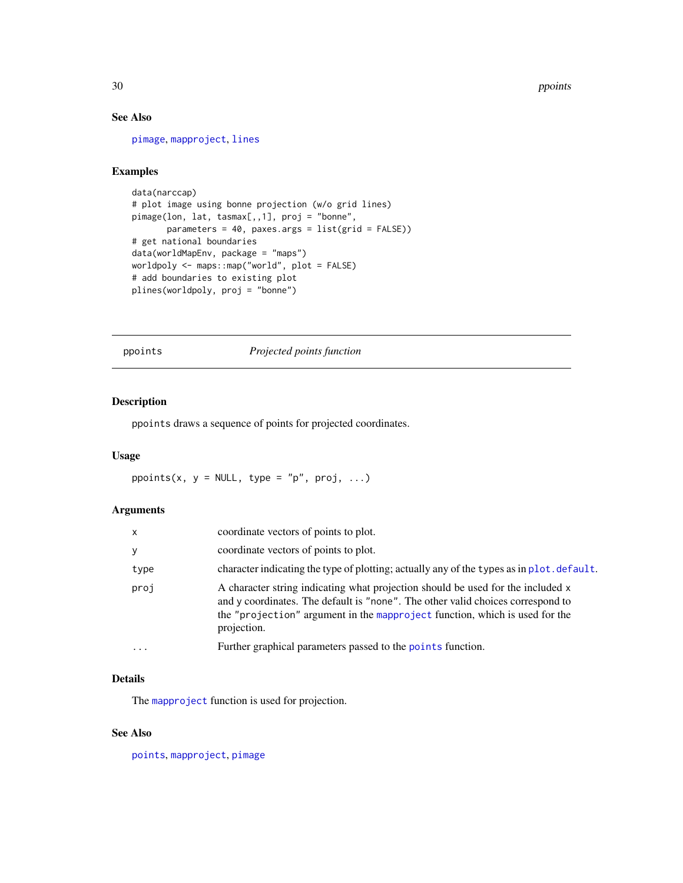# See Also

[pimage](#page-24-1), [mapproject](#page-0-0), [lines](#page-0-0)

# Examples

```
data(narccap)
# plot image using bonne projection (w/o grid lines)
pimage(lon, lat, tasmax[,,1], proj = "bonne",
       parameters = 40, paxes.args = list(grid = FALSE))
# get national boundaries
data(worldMapEnv, package = "maps")
worldpoly <- maps::map("world", plot = FALSE)
# add boundaries to existing plot
plines(worldpoly, proj = "bonne")
```
ppoints *Projected points function*

### Description

ppoints draws a sequence of points for projected coordinates.

#### Usage

ppoints(x,  $y = NULL$ , type = "p", proj, ...)

#### Arguments

| x        | coordinate vectors of points to plot.                                                                                                                                                                                                                            |
|----------|------------------------------------------------------------------------------------------------------------------------------------------------------------------------------------------------------------------------------------------------------------------|
| y        | coordinate vectors of points to plot.                                                                                                                                                                                                                            |
| type     | character indicating the type of plotting; actually any of the types as in plot. default.                                                                                                                                                                        |
| proj     | A character string indicating what projection should be used for the included x<br>and y coordinates. The default is "none". The other valid choices correspond to<br>the "projection" argument in the mapproject function, which is used for the<br>projection. |
| $\cdots$ | Further graphical parameters passed to the points function.                                                                                                                                                                                                      |

#### Details

The [mapproject](#page-0-0) function is used for projection.

#### See Also

[points](#page-0-0), [mapproject](#page-0-0), [pimage](#page-24-1)

<span id="page-29-0"></span>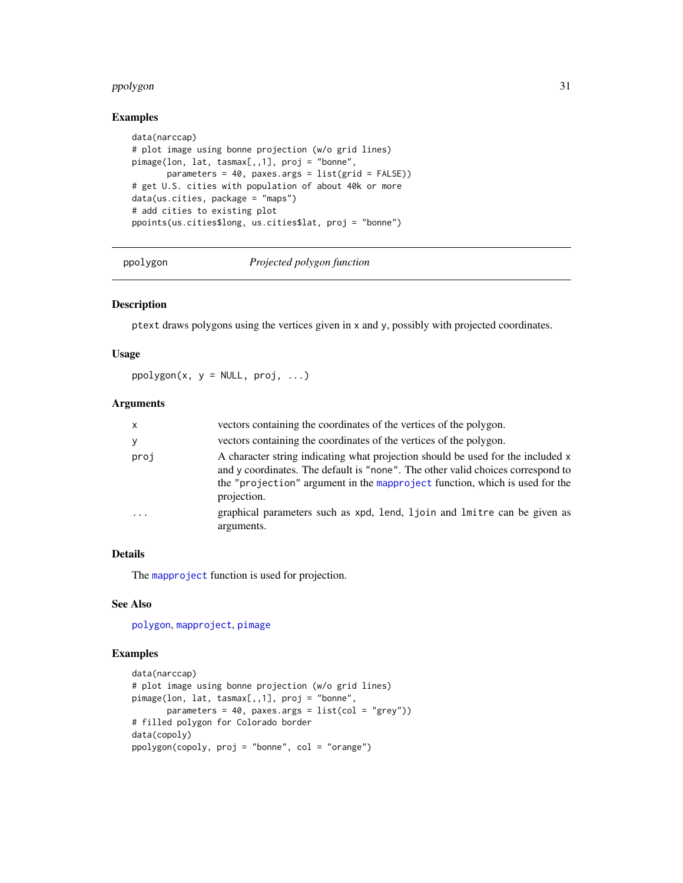#### <span id="page-30-0"></span>ppolygon 31

# Examples

```
data(narccap)
# plot image using bonne projection (w/o grid lines)
pimage(lon, lat, tasmax[,,1], proj = "bonne",
       parameters = 40, paxes.args = list(grid = FALSE))
# get U.S. cities with population of about 40k or more
data(us.cities, package = "maps")
# add cities to existing plot
ppoints(us.cities$long, us.cities$lat, proj = "bonne")
```
ppolygon *Projected polygon function*

#### Description

ptext draws polygons using the vertices given in x and y, possibly with projected coordinates.

#### Usage

 $ppolygon(x, y = NULL, proj, ...)$ 

# Arguments

| X.       | vectors containing the coordinates of the vertices of the polygon.                                                                                                                                                                                               |
|----------|------------------------------------------------------------------------------------------------------------------------------------------------------------------------------------------------------------------------------------------------------------------|
| ٧        | vectors containing the coordinates of the vertices of the polygon.                                                                                                                                                                                               |
| proj     | A character string indicating what projection should be used for the included x<br>and y coordinates. The default is "none". The other valid choices correspond to<br>the "projection" argument in the mapproject function, which is used for the<br>projection. |
| $\ddots$ | graphical parameters such as xpd, lend, ljoin and lmitre can be given as<br>arguments.                                                                                                                                                                           |

# Details

The [mapproject](#page-0-0) function is used for projection.

#### See Also

[polygon](#page-0-0), [mapproject](#page-0-0), [pimage](#page-24-1)

```
data(narccap)
# plot image using bonne projection (w/o grid lines)
pimage(lon, lat, tasmax[,,1], proj = "bonne",
      parameters = 40, paxes.args = list(col = "grey"))
# filled polygon for Colorado border
data(copoly)
ppolygon(copoly, proj = "bonne", col = "orange")
```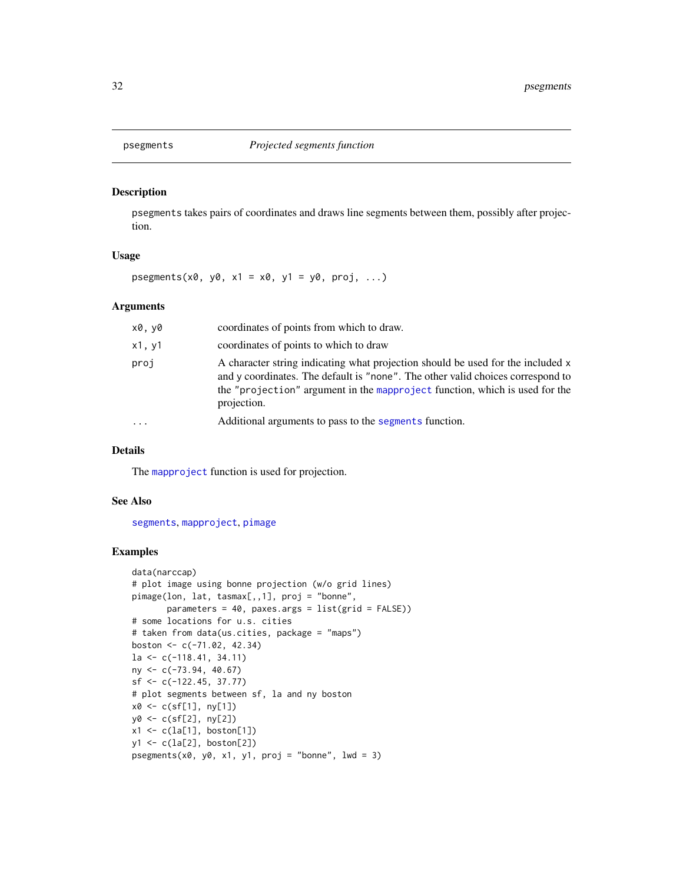<span id="page-31-0"></span>

#### Description

psegments takes pairs of coordinates and draws line segments between them, possibly after projection.

#### Usage

psegments(x0, y0, x1 = x0, y1 = y0, proj, ...)

# Arguments

| x0, y0  | coordinates of points from which to draw.                                                                                                                                                                                                                        |
|---------|------------------------------------------------------------------------------------------------------------------------------------------------------------------------------------------------------------------------------------------------------------------|
| x1, y1  | coordinates of points to which to draw                                                                                                                                                                                                                           |
| proj    | A character string indicating what projection should be used for the included x<br>and y coordinates. The default is "none". The other valid choices correspond to<br>the "projection" argument in the mapproject function, which is used for the<br>projection. |
| $\cdot$ | Additional arguments to pass to the segments function.                                                                                                                                                                                                           |
|         |                                                                                                                                                                                                                                                                  |

### Details

The [mapproject](#page-0-0) function is used for projection.

# See Also

[segments](#page-0-0), [mapproject](#page-0-0), [pimage](#page-24-1)

```
data(narccap)
# plot image using bonne projection (w/o grid lines)
pimage(lon, lat, tasmax[,,1], proj = "bonne",
       parameters = 40, paxes.args = list(grid = FALSE))
# some locations for u.s. cities
# taken from data(us.cities, package = "maps")
boston <- c(-71.02, 42.34)
la <- c(-118.41, 34.11)
ny <- c(-73.94, 40.67)
sf <- c(-122.45, 37.77)
# plot segments between sf, la and ny boston
x0 <- c(sf[1], ny[1])
y0 <- c(sf[2], ny[2])
x1 <- c(la[1], boston[1])
y1 <- c(la[2], boston[2])
psegments(x0, y0, x1, y1, proj = "bonne", lwd = 3)
```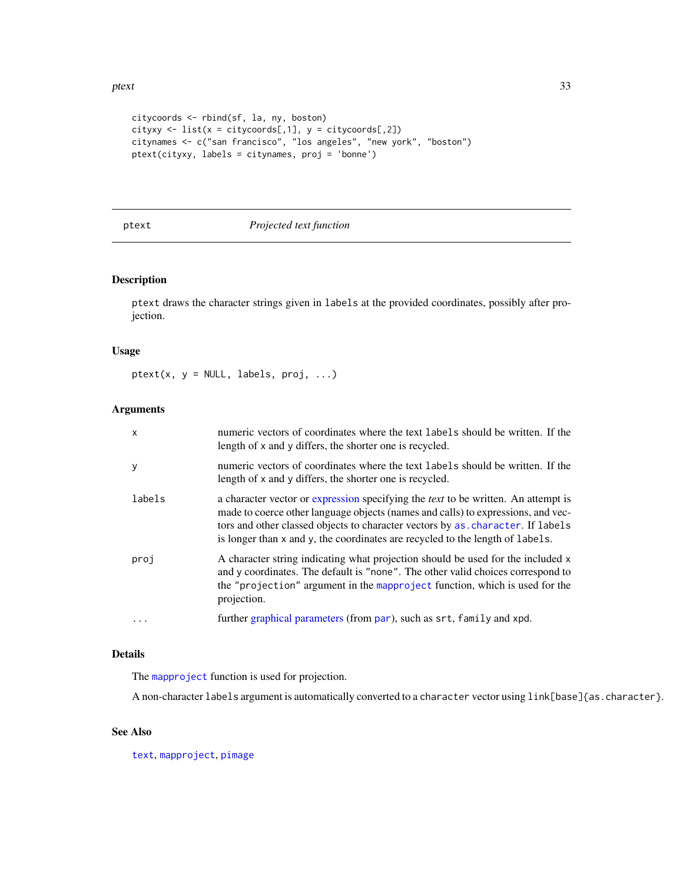```
citycoords <- rbind(sf, la, ny, boston)
cityxy <- list(x = citycoordinates[, 1], y = citycoordinates[, 2])citynames <- c("san francisco", "los angeles", "new york", "boston")
ptext(cityxy, labels = citynames, proj = 'bonne')
```
#### ptext *Projected text function*

#### Description

ptext draws the character strings given in labels at the provided coordinates, possibly after projection.

#### Usage

 $ptext(x, y = NULL, labels, proj, ...)$ 

#### Arguments

| $\times$ | numeric vectors of coordinates where the text labels should be written. If the<br>length of x and y differs, the shorter one is recycled.                                                                                                                                                                                                         |
|----------|---------------------------------------------------------------------------------------------------------------------------------------------------------------------------------------------------------------------------------------------------------------------------------------------------------------------------------------------------|
| y        | numeric vectors of coordinates where the text labels should be written. If the<br>length of x and y differs, the shorter one is recycled.                                                                                                                                                                                                         |
| labels   | a character vector or expression specifying the <i>text</i> to be written. An attempt is<br>made to coerce other language objects (names and calls) to expressions, and vec-<br>tors and other classed objects to character vectors by as . character. If labels<br>is longer than x and y, the coordinates are recycled to the length of labels. |
| proj     | A character string indicating what projection should be used for the included x<br>and y coordinates. The default is "none". The other valid choices correspond to<br>the "projection" argument in the mapproject function, which is used for the<br>projection.                                                                                  |
| $\cdots$ | further graphical parameters (from par), such as srt, family and xpd.                                                                                                                                                                                                                                                                             |

#### Details

The [mapproject](#page-0-0) function is used for projection.

A non-character labels argument is automatically converted to a character vector using link[base]{as.character}.

# See Also

[text](#page-0-0), [mapproject](#page-0-0), [pimage](#page-24-1)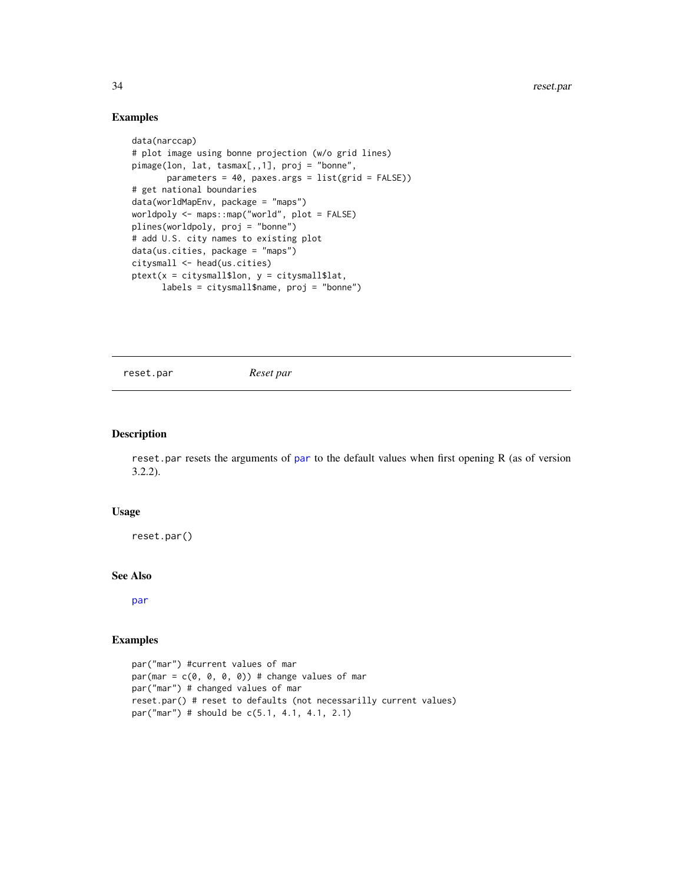# Examples

```
data(narccap)
# plot image using bonne projection (w/o grid lines)
pimage(lon, lat, tasmax[,,1], proj = "bonne",
       parameters = 40, paxes.args = list(grid = FALSE))
# get national boundaries
data(worldMapEnv, package = "maps")
worldpoly <- maps::map("world", plot = FALSE)
plines(worldpoly, proj = "bonne")
# add U.S. city names to existing plot
data(us.cities, package = "maps")
citysmall <- head(us.cities)
ptext(x = citysmall$lon, y = citysmall$lat,
      labels = citysmall$name, proj = "bonne")
```
reset.par *Reset par*

#### Description

reset.par resets the arguments of [par](#page-0-0) to the default values when first opening R (as of version 3.2.2).

#### Usage

reset.par()

#### See Also

[par](#page-0-0)

```
par("mar") #current values of mar
par(max = c(0, 0, 0, 0)) # change values of mar
par("mar") # changed values of mar
reset.par() # reset to defaults (not necessarilly current values)
par("mar") # should be c(5.1, 4.1, 4.1, 2.1)
```
<span id="page-33-0"></span>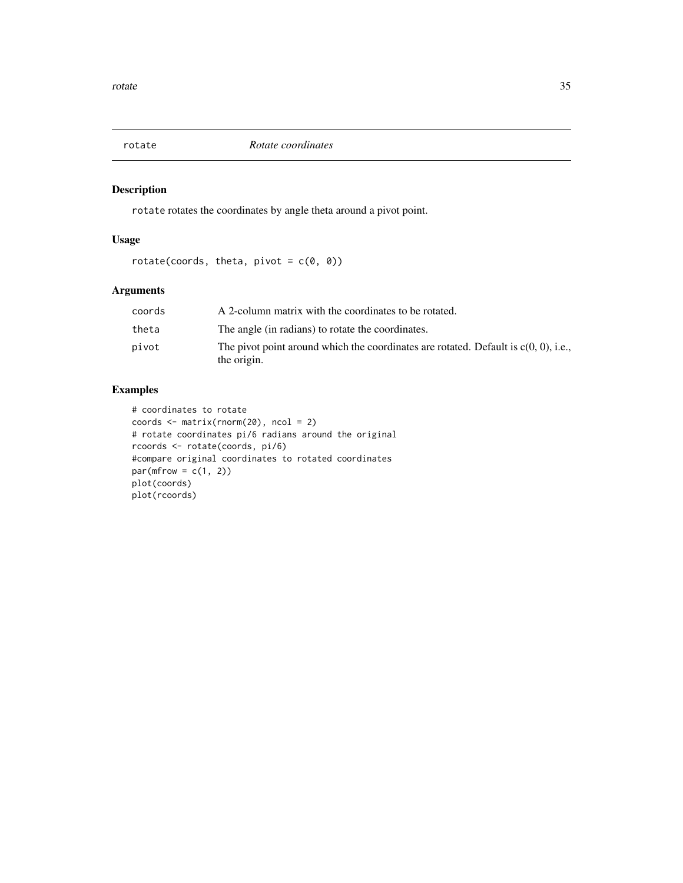<span id="page-34-0"></span>

# Description

rotate rotates the coordinates by angle theta around a pivot point.

# Usage

```
rotate(coords, theta, pivot = c(\theta, \theta))
```
# Arguments

| coords | A 2-column matrix with the coordinates to be rotated.                                                 |
|--------|-------------------------------------------------------------------------------------------------------|
| theta  | The angle (in radians) to rotate the coordinates.                                                     |
| pivot  | The pivot point around which the coordinates are rotated. Default is $c(0, 0)$ , i.e.,<br>the origin. |

```
# coordinates to rotate
coords <- matrix(rnorm(20), ncol = 2)
# rotate coordinates pi/6 radians around the original
rcoords <- rotate(coords, pi/6)
#compare original coordinates to rotated coordinates
par(mfrow = c(1, 2))plot(coords)
plot(rcoords)
```